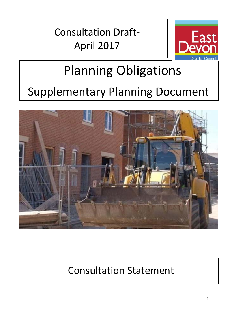Consultation Draft-April 2017



## Planning Obligations Supplementary Planning Document



## Consultation Statement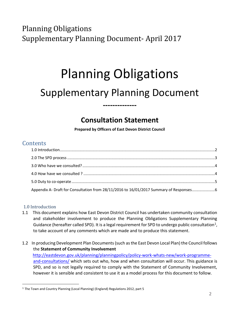Planning Obligations Supplementary Planning Document- April 2017

# Planning Obligations

### Supplementary Planning Document

**--------------**

#### **Consultation Statement**

**Prepared by Officers of East Devon District Council** 

#### **Contents**

| Appendix A- Draft for Consultation from 28/11/2016 to 16/01/2017 Summary of Responses6 |  |
|----------------------------------------------------------------------------------------|--|

#### <span id="page-1-0"></span>1.0 Introduction

 $\overline{a}$ 

- 1.1 This document explains how East Devon District Council has undertaken community consultation and stakeholder involvement to produce the Planning Obligations Supplementary Planning Guidance (hereafter called SPD). It is a legal requirement for SPD to undergo public consultation<sup>1</sup>, to take account of any comments which are made and to produce this statement.
- 1.2 In producing Development Plan Documents (such as the East Devon Local Plan) the Council follows the **Statement of Community Involvement** [http://eastdevon.gov.uk/planning/planningpolicy/policy-work-whats-new/work-programme](http://eastdevon.gov.uk/planning/planning-policy/policy-work-whats-new/work-programme-and-consultations/)[and-consultations/](http://eastdevon.gov.uk/planning/planning-policy/policy-work-whats-new/work-programme-and-consultations/) which sets out who, how and when consultation will occur. This guidance is SPD, and so is not legally required to comply with the Statement of Community Involvement, however it is sensible and consistent to use it as a model process for this document to follow.

<sup>1</sup> The Town and Country Planning (Local Planning) (England) Regulations 2012, part 5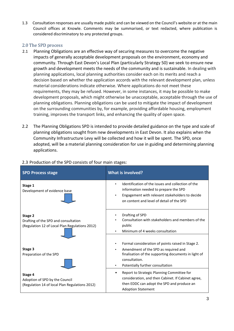1.3 Consultation responses are usually made public and can be viewed on the Council's website or at the main Council offices at Knowle. Comments may be summarised, or text redacted, where publication is considered discriminatory to any protected groups.

#### <span id="page-2-0"></span>2.0 The SPD process

- 2.1 Planning Obligations are an effective way of securing measures to overcome the negative impacts of generally acceptable development proposals on the environment, economy and community. Through East Devon's Local Plan (particularly Strategy 50) we seek to ensure new growth and development meets the needs of the community and is sustainable. In dealing with planning applications, local planning authorities consider each on its merits and reach a decision based on whether the application accords with the relevant development plan, unless material considerations indicate otherwise. Where applications do not meet these requirements, they may be refused. However, in some instances, it may be possible to make development proposals, which might otherwise be unacceptable, acceptable through the use of planning obligations. Planning obligations can be used to mitigate the impact of development on the surrounding communities by, for example, providing affordable housing, employment training, improves the transport links, and enhancing the quality of open space.
- 2.2 The Planning Obligations SPD is intended to provide detailed guidance on the type and scale of planning obligations sought from new developments in East Devon. It also explains when the Community Infrastructure Levy will be collected and how it will be spent. The SPD, once adopted, will be a material planning consideration for use in guiding and determining planning applications.

| <b>SPD Process stage</b>                                                                          | <b>What is involved?</b>                                                                                                                                                                                 |  |
|---------------------------------------------------------------------------------------------------|----------------------------------------------------------------------------------------------------------------------------------------------------------------------------------------------------------|--|
| Stage 1<br>Development of evidence base                                                           | Identification of the issues and collection of the<br>information needed to prepare the SPD<br>Engagement with relevant stakeholders to decide<br>$\bullet$<br>on content and level of detail of the SPD |  |
| Stage 2<br>Drafting of the SPD and consultation<br>(Regulation 12 of Local Plan Regulations 2012) | Drafting of SPD<br>Consultation with stakeholders and members of the<br>public<br>Minimum of 4 weeks consultation<br>$\bullet$                                                                           |  |
| Stage 3<br>Preparation of the SPD                                                                 | Formal consideration of points raised in Stage 2.<br>Amendment of the SPD as required and<br>finalisation of the supporting documents in light of<br>consultation.<br>Potentially further consultation   |  |
| Stage 4<br>Adoption of SPD by the Council<br>(Regulation 14 of local Plan Regulations 2012)       | Report to Strategic Planning Committee for<br>consideration, and then Cabinet. If Cabinet agree,<br>then EDDC can adopt the SPD and produce an<br><b>Adoption Statement</b>                              |  |

#### 2.3 Production of the SPD consists of four main stages: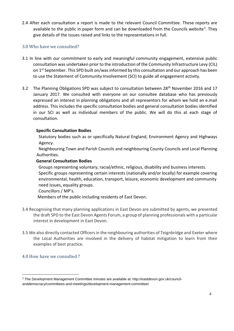2.4 After each consultation a report is made to the relevant Council Committee. These reports are available to the public in paper form and can be downloaded from the Councils website<sup>2</sup>. They give details of the issues raised and links to the representations in full.

#### <span id="page-3-0"></span>3.0 Who have we consulted?

- 3.1 In line with our commitment to early and meaningful community engagement, extensive public consultation was undertaken prior to the introduction of the Community Infrastructure Levy (CIL) on 1<sup>st</sup> September. This SPD built on/was informed by this consultation and our approach has been to use the Statement of Community Involvement (SCI) to guide all engagement activity.
- 3.2 The Planning Obligations SPD was subject to consultation between 28<sup>th</sup> November 2016 and 17 January 2017. We consulted with everyone on our consultee database who has previously expressed an interest in planning obligations and all representors for whom we hold an e.mail address. This includes the specific consultation bodies and general consultation bodies identified in our SCI as well as individual members of the public. We will do this at each stage of consultation.

#### **Specific Consultation Bodies**

Statutory bodies such as or specifically Natural England, Environment Agency and Highways Agency.

Neighbouring Town and Parish Councils and neighbouring County Councils and Local Planning Authorities.

#### **General Consultation Bodies**

Groups representing voluntary, racial/ethnic, religious, disability and business interests. Specific groups representing certain interests (nationally and/or locally) for example covering environmental, health, education, transport, leisure, economic development and community need issues, equality groups.

#### Councillors / MP's.

Members of the public including residents of East Devon.

- 3.4 Recognising that many planning applications in East Devon are submitted by agents, we presented the draft SPD to the East Devon Agents Forum, a group of planning professionals with a particular interest in development in East Devon.
- 3.5 We also directly contacted Officers in the neighbouring authorities of Teignbridge and Exeter where the Local Authorities are involved in the delivery of habitat mitigation to learn from their examples of best practice.

#### <span id="page-3-1"></span>4.0 How have we consulted ?

 $\overline{a}$ 

<sup>2</sup> The Development Management Committee minutes are available at: http://eastdevon.gov.uk/councilanddemocracy/committees-and-meetings/development-management-committee/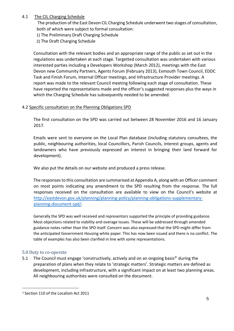#### 4.1 The CIL Charging Schedule

The production of the East Devon CIL Charging Schedule underwent two stages of consultation, both of which were subject to formal consultation:

- 1) The Preliminary Draft Charging Schedule
- 2) The Draft Charging Schedule

Consultation with the relevant bodies and an appropriate range of the public as set out in the regulations was undertaken at each stage. Targetted consultation was undertaken with various interested parties including a Developers Workshop (March 2012), meetings with the East Devon new Community Partners, Agents Forum (February 2013), Exmouth Town Council, EDDC Task and Finish Forum, Internal Officer meetings, and Infrastructure Provider meetings. A report was made to the relevant Council meeting following each stage of consultation. These have reported the representations made and the officer's suggested responses plus the ways in which the Charging Schedule has subsequently needed to be amended.

#### 4.2 Specific consultation on the Planning Obligations SPD

The first consultation on the SPD was carried out between 28 November 2016 and 16 January 2017.

Emails were sent to everyone on the Local Plan database (including statutory consultees, the public, neighbouring authorities, local Councillors, Parish Councils, interest groups, agents and landowners who have previously expressed an interest in bringing their land forward for development).

We also put the details on our website and produced a press release.

The responses to this consultation are summarised at Appendix A, along with an Officer comment on most points indicating any amendment to the SPD resulting from the response. The full responses received on the consultation are available to view on the Council's website at [http://eastdevon.gov.uk/planning/planning-policy/planning-obligations-supplementary](http://eastdevon.gov.uk/planning/planning-policy/planning-obligations-supplementary-planning-document-spd/)[planning-document-spd/.](http://eastdevon.gov.uk/planning/planning-policy/planning-obligations-supplementary-planning-document-spd/)

Generally the SPD was well received and representors supported the principle of providing guidance. Most objections related to viability and overage issues. These will be addressed through amended guidance notes rather than the SPD itself. Concern was also expressed that the SPD might differ from the anticipated Government Housing white paper. This has now been issued and there is no conflict. The table of examples has also been clarified in line with some representations.

#### <span id="page-4-0"></span>5.0 Duty to co-operate

 $\overline{a}$ 

5.1 The Council must engage 'constructively, actively and on an ongoing basis<sup>3</sup>' during the preparation of plans when they relate to 'strategic matters'. Strategic matters are defined as development, including infrastructure, with a significant impact on at least two planning areas. All neighbouring authorities were consulted on the document.

<sup>3</sup> Section 110 of the Localism Act 2011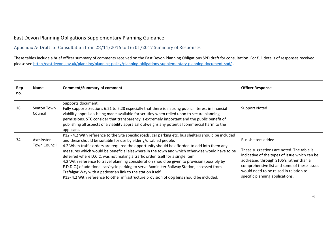#### East Devon Planning Obligations Supplementary Planning Guidance

Appendix A- Draft for Consultation from 28/11/2016 to 16/01/2017 Summary of Responses

These tables include a brief officer summary of comments received on the East Devon Planning Obligations SPD draft for consultation. For full details of responses received please se[e http://eastdevon.gov.uk/planning/planning-policy/planning-obligations-supplementary-planning-document-spd/](http://eastdevon.gov.uk/planning/planning-policy/planning-obligations-supplementary-planning-document-spd/) .

<span id="page-5-0"></span>

| Rep<br>no. | <b>Name</b>                      | <b>Comment/Summary of comment</b>                                                                                                                                                                                                                                                                                                                                                                                                                                                                                                                                                                                                                                                                                                                                                                                       | <b>Officer Response</b>                                                                                                                                                                                                                                                                |
|------------|----------------------------------|-------------------------------------------------------------------------------------------------------------------------------------------------------------------------------------------------------------------------------------------------------------------------------------------------------------------------------------------------------------------------------------------------------------------------------------------------------------------------------------------------------------------------------------------------------------------------------------------------------------------------------------------------------------------------------------------------------------------------------------------------------------------------------------------------------------------------|----------------------------------------------------------------------------------------------------------------------------------------------------------------------------------------------------------------------------------------------------------------------------------------|
| 18         | Seaton Town<br>Council           | Supports document.<br>Fully supports Sections 6.21 to 6.28 especially that there is a strong public interest in financial<br>viability appraisals being made available for scrutiny when relied upon to secure planning<br>permissions. STC consider that transparency is extremely important and the public benefit of<br>publishing all aspects of a viability appraisal outweighs any potential commercial harm to the<br>applicant.                                                                                                                                                                                                                                                                                                                                                                                 | <b>Support Noted</b>                                                                                                                                                                                                                                                                   |
| 34         | Axminster<br><b>Town Council</b> | P12 - 4.2 With reference to the Site specific roads, car parking etc. bus shelters should be included<br>and these should be suitable for use by elderly/disabled people.<br>4.2 When traffic orders are required the opportunity should be afforded to add into them any<br>measures which would be beneficial elsewhere in the town and which otherwise would have to be<br>deferred where D.C.C. was not making a traffic order itself for a single item.<br>4.2 With reference to travel planning consideration should be given to provision (possibly by<br>E.D.D.C.) of additional car/cycle parking to serve Axminster Railway Station, accessed from<br>Trafalgar Way with a pedestrian link to the station itself.<br>P13-4.2 With reference to other infrastructure provision of dog bins should be included. | Bus shelters added<br>These suggestions are noted. The table is<br>indicative of the types of issue which can be<br>addressed through S106's rather than a<br>comprehensive list and some of these issues<br>would need to be raised in relation to<br>specific planning applications. |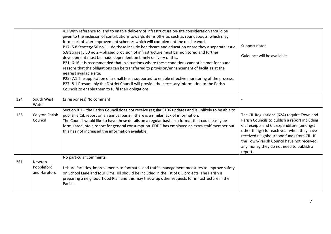|     |                                      | 4.2 With reference to land to enable delivery of infrastructure on-site consideration should be<br>given to the inclusion of contributions towards items off-site, such as roundabouts, which may                                                                                                                                                                                                                                                    |                                                                                                                                                                                                                                                                                                                                        |
|-----|--------------------------------------|------------------------------------------------------------------------------------------------------------------------------------------------------------------------------------------------------------------------------------------------------------------------------------------------------------------------------------------------------------------------------------------------------------------------------------------------------|----------------------------------------------------------------------------------------------------------------------------------------------------------------------------------------------------------------------------------------------------------------------------------------------------------------------------------------|
|     |                                      | form part of later improvement schemes which will complement the on site works.<br>P17-5.8 Strategy 50 no $1$ – do these include healthcare and education or are they a separate issue.                                                                                                                                                                                                                                                              | Support noted                                                                                                                                                                                                                                                                                                                          |
|     |                                      | 5.8 Stragegy 50 no 2 - phased provision of infrastructure must be monitored and further<br>development must be made dependent on timely delivery of this.                                                                                                                                                                                                                                                                                            | Guidance will be available                                                                                                                                                                                                                                                                                                             |
|     |                                      | P21-6.16 It is recommended that in situations where these conditions cannot be met for sound<br>reasons that the obligations can be transferred to provision/enhancement of facilities at the<br>nearest available site.                                                                                                                                                                                                                             |                                                                                                                                                                                                                                                                                                                                        |
|     |                                      | P25-7.1 The application of a small fee is supported to enable effective monitoring of the process.<br>P27-8.1 Presumably the District Council will provide the necessary information to the Parish<br>Councils to enable them to fulfil their obligations.                                                                                                                                                                                           |                                                                                                                                                                                                                                                                                                                                        |
| 124 | South West<br>Water                  | (2 responses) No comment                                                                                                                                                                                                                                                                                                                                                                                                                             |                                                                                                                                                                                                                                                                                                                                        |
| 135 | <b>Colyton Parish</b><br>Council     | Section 8.1 - the Parish Council does not receive regular S106 updates and is unlikely to be able to<br>publish a CiL report on an annual basis if there is a similar lack of information.<br>The Council would like to have these details on a regular basis in a format that could easily be<br>formulated into a report for general consumption. EDDC has employed an extra staff member but<br>this has not increased the information available. | The CIL Regulations (62A) require Town and<br>Parish Councils to publish a report including<br>CIL receipts and CIL expenditure (amongst<br>other things) for each year when they have<br>received neighbourhood funds from CIL. If<br>the Town/Parish Council have not received<br>any money they do not need to publish a<br>report. |
| 261 | Newton<br>Poppleford<br>and Harpford | No particular comments.<br>Leisure facilities, improvements to footpaths and traffic management measures to improve safety<br>on School Lane and four Elms Hill should be included in the list of CIL projects. The Parish is<br>preparing a neighbourhood Plan and this may throw up other requests for infrastructure in the<br>Parish.                                                                                                            |                                                                                                                                                                                                                                                                                                                                        |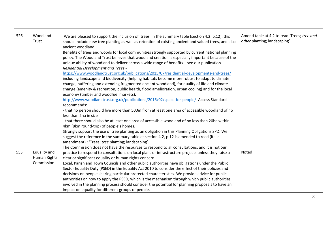| 526 | Woodland     | We are pleased to support the inclusion of 'trees' in the summary table (section 4.2, p.12), this    | Amend table at 4.2 to read 'Trees; tree and |
|-----|--------------|------------------------------------------------------------------------------------------------------|---------------------------------------------|
|     | Trust        | should include new tree planting as well as retention of existing ancient and valued trees, and also | other planting; landscaping'                |
|     |              | ancient woodland.                                                                                    |                                             |
|     |              | Benefits of trees and woods for local communities strongly supported by current national planning    |                                             |
|     |              | policy. The Woodland Trust believes that woodland creation is especially important because of the    |                                             |
|     |              | unique ability of woodland to deliver across a wide range of benefits - see our publication          |                                             |
|     |              | <b>Residential Development and Trees -</b>                                                           |                                             |
|     |              | https://www.woodlandtrust.org.uk/publications/2015/07/residential-developments-and-trees/            |                                             |
|     |              | including landscape and biodiversity (helping habitats become more robust to adapt to climate        |                                             |
|     |              | change, buffering and extending fragmented ancient woodland), for quality of life and climate        |                                             |
|     |              | change (amenity & recreation, public health, flood amelioration, urban cooling) and for the local    |                                             |
|     |              | economy (timber and woodfuel markets).                                                               |                                             |
|     |              | http://www.woodlandtrust.org.uk/publications/2015/02/space-for-people/ Access Standard               |                                             |
|     |              | recommends:                                                                                          |                                             |
|     |              | - that no person should live more than 500m from at least one area of accessible woodland of no      |                                             |
|     |              | less than 2ha in size                                                                                |                                             |
|     |              | - that there should also be at least one area of accessible woodland of no less than 20ha within     |                                             |
|     |              | 4km (8km round-trip) of people's homes.                                                              |                                             |
|     |              | Strongly support the use of tree planting as an obligation in this Planning Obligations SPD. We      |                                             |
|     |              | suggest the reference in the summary table at section 4.2, p.12 is amended to read (italic           |                                             |
|     |              | amendment) : 'Trees; tree planting; landscaping'.                                                    |                                             |
|     |              | The Commission does not have the resources to respond to all consultations, and it is not our        |                                             |
| 553 | Equality and | practice to respond to consultations on local plans or infrastructure projects unless they raise a   | Noted                                       |
|     | Human Rights | clear or significant equality or human rights concern.                                               |                                             |
|     | Commission   | Local, Parish and Town Councils and other public authorities have obligations under the Public       |                                             |
|     |              | Sector Equality Duty (PSED) in the Equality Act 2010 to consider the effect of their policies and    |                                             |
|     |              | decisions on people sharing particular protected characteristics. We provide advice for public       |                                             |
|     |              | authorities on how to apply the PSED, which is the mechanism through which public authorities        |                                             |
|     |              | involved in the planning process should consider the potential for planning proposals to have an     |                                             |
|     |              | impact on equality for different groups of people.                                                   |                                             |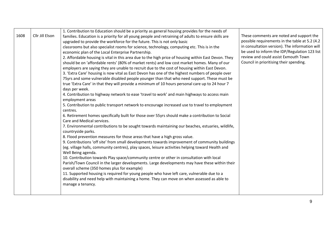|      |                 | 1. Contribution to Education should be a priority as general housing provides for the needs of                                            |                                                 |
|------|-----------------|-------------------------------------------------------------------------------------------------------------------------------------------|-------------------------------------------------|
| 1608 | Cllr Jill Elson | families. Education is a priority for all young people and retraining of adults to ensure skills are                                      | These comments are noted and support the        |
|      |                 | upgraded to provide the workforce for the future. This is not only basic                                                                  | possible requirements in the table at 5.2 (4.2) |
|      |                 | classrooms but also specialist rooms for science, technology, computing etc. This is in the                                               | in consultation version). The information will  |
|      |                 | economic plan of the Local Enterprise Partnership.                                                                                        | be used to inform the IDP/Regulation 123 list   |
|      |                 | 2. Affordable housing is vital in this area due to the high price of housing within East Devon. They                                      | review and could assist Exmouth Town            |
|      |                 | should be on 'affordable rents' (80% of market rents) and low cost market homes. Many of our                                              | Council in prioritising their spending.         |
|      |                 | employers are saying they are unable to recruit due to the cost of housing within East Devon.                                             |                                                 |
|      |                 | 3. 'Extra Care' housing is now vital as East Devon has one of the highest numbers of people over                                          |                                                 |
|      |                 | 75yrs and some vulnerable disabled people younger than that who need support. These must be                                               |                                                 |
|      |                 | true 'Extra Care' in that they will provide a minimum of 10 hours personal care up to 24 hour 7                                           |                                                 |
|      |                 | days per week.                                                                                                                            |                                                 |
|      |                 | 4. Contribution to highway network to ease 'travel to work' and main highways to access main                                              |                                                 |
|      |                 | employment areas                                                                                                                          |                                                 |
|      |                 | 5. Contribution to public transport network to encourage increased use to travel to employment                                            |                                                 |
|      |                 | centres.                                                                                                                                  |                                                 |
|      |                 | 6. Retirement homes specifically built for those over 55yrs should make a contribution to Social                                          |                                                 |
|      |                 | Care and Medical services.                                                                                                                |                                                 |
|      |                 | 7. Environmental contributions to be sought towards maintaining our beaches, estuaries, wildlife,                                         |                                                 |
|      |                 | countryside parks.                                                                                                                        |                                                 |
|      |                 | 8. Flood prevention measures for those areas that have a high gross value.                                                                |                                                 |
|      |                 | 9. Contributions 'off site' from small developments towards improvement of community buildings                                            |                                                 |
|      |                 | (eg. village halls, community centres), play spaces, leisure activities helping toward Health and                                         |                                                 |
|      |                 | Well Being agenda.                                                                                                                        |                                                 |
|      |                 | 10. Contribution towards Play space/community centre or other in consultation with local                                                  |                                                 |
|      |                 | Parish/Town Council in the larger developments. Large developments may have these within their                                            |                                                 |
|      |                 | overall scheme (350 homes plus for example)<br>11. Supported housing is required for young people who have left care, vulnerable due to a |                                                 |
|      |                 | disability and need help with maintaining a home. They can move on when assessed as able to                                               |                                                 |
|      |                 | manage a tenancy.                                                                                                                         |                                                 |
|      |                 |                                                                                                                                           |                                                 |
|      |                 |                                                                                                                                           |                                                 |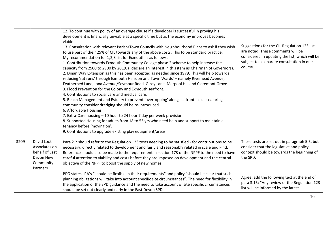|      |                                                                                     | 12. To continue with policy of an overage clause if a developer is successful in proving his<br>development is financially unviable at a specific time but as the economy improves becomes<br>viable.<br>13. Consultation with relevant Parish/Town Councils with Neighbourhood Plans to ask if they wish<br>to use part of their 25% of CIL towards any of the above costs. This to be standard practice.<br>My recommendation for 1,2,3 list for Exmouth is as follows.<br>1. Contribution towards Exmouth Community College phase 2 scheme to help increase the<br>capacity from 2500 to 2900 by 2019. (I declare an interest in this item as Chairman of Governors).<br>2. Dinan Way Extension as this has been accepted as needed since 1979. This will help towards<br>reducing 'rat runs' through Exmouth Halsdon and Town Wards' - namely Rivemead Avenue,<br>Featherbed Lane, Iona Avenue/Seymour Road, Gipsy Lane, Marpool Hill and Claremont Grove.<br>3. Flood Prevention for the Colony and Exmouth seafront.<br>4. Contributions to social care and medical care.<br>5. Beach Management and Estuary to prevent 'overtopping' along seafront. Local seafaring<br>community consider dredging should be re-introduced.<br>6. Affordable Housing<br>7. Extra-Care housing - 10 hour to 24 hour 7 day per week provision<br>8. Supported Housing for adults from 18 to 55 yrs who need help and support to maintain a<br>tenancy before 'moving on'.<br>9. Contributions to upgrade existing play equipment/areas. | Suggestions for the CIL Regulation 123 list<br>are noted. These comments will be<br>considered in updating the list, which will be<br>subject to a separate consultation in due<br>course. |
|------|-------------------------------------------------------------------------------------|-------------------------------------------------------------------------------------------------------------------------------------------------------------------------------------------------------------------------------------------------------------------------------------------------------------------------------------------------------------------------------------------------------------------------------------------------------------------------------------------------------------------------------------------------------------------------------------------------------------------------------------------------------------------------------------------------------------------------------------------------------------------------------------------------------------------------------------------------------------------------------------------------------------------------------------------------------------------------------------------------------------------------------------------------------------------------------------------------------------------------------------------------------------------------------------------------------------------------------------------------------------------------------------------------------------------------------------------------------------------------------------------------------------------------------------------------------------------------------------------------------------------------------|--------------------------------------------------------------------------------------------------------------------------------------------------------------------------------------------|
| 3209 | David Lock<br>Associates on<br>behalf of East<br>Devon New<br>Community<br>Partners | Para 2.2 should refer to the Regulation 123 tests needing to be satisfied - for contributions to be<br>necessary, directly related to development and fairly and reasonably related in scale and kind.<br>Reference should also be made to the requirement in section 173 of the NPPF to the need to have<br>careful attention to viability and costs before they are imposed on development and the central<br>objective of the NPPF to boost the supply of new homes.                                                                                                                                                                                                                                                                                                                                                                                                                                                                                                                                                                                                                                                                                                                                                                                                                                                                                                                                                                                                                                                       | These tests are set out in paragraph 5.5, but<br>consider that the legislative and policy<br>context should be towards the beginning of<br>the SPD.                                        |
|      |                                                                                     | PPG states LPA's "should be flexible in their requirements" and policy "should be clear that such<br>planning obligations will take into account specific site circumstances". The need for flexibility in<br>the application of the SPD guidance and the need to take account of site specific circumstances<br>should be set out clearly and early in the East Devon SPD.                                                                                                                                                                                                                                                                                                                                                                                                                                                                                                                                                                                                                                                                                                                                                                                                                                                                                                                                                                                                                                                                                                                                                   | Agree, add the following text at the end of<br>para 3.15: "Any review of the Regulation 123<br>list will be informed by the latest                                                         |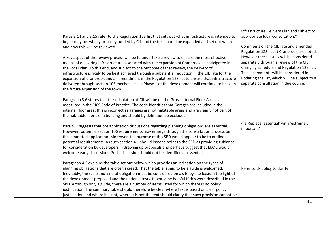|  |                                                                                                                                                                                                      | Infrastructure Delivery Plan and subject to   |
|--|------------------------------------------------------------------------------------------------------------------------------------------------------------------------------------------------------|-----------------------------------------------|
|  | Paras 3.14 and 3.15 refer to the Regulation 123 list that sets out what infrastructure is intended to                                                                                                | appropriate local consultation."              |
|  | be, or may be, wholly or partly funded by CIL and the text should be expanded and set out when                                                                                                       |                                               |
|  | and how this will be reviewed.                                                                                                                                                                       | Comments on the CIL rate and amended          |
|  |                                                                                                                                                                                                      | Regulation 123 list at Cranbrook are noted.   |
|  | A key aspect of the review process will be to undertake a review to ensure the most effective                                                                                                        | However these issues will be considered       |
|  | means of delivering infrastructure associated with the expansion of Cranbrook as anticipated in                                                                                                      | separately through a review of the CIL        |
|  | the Local Plan. To this end, and subject to the outcome of that review, the delivery of                                                                                                              | Charging Schedule and Regulation 123 list.    |
|  | infrastructure is likely to be best achieved through a substantial reduction in the CIL rate for the                                                                                                 | These comments will be considered in          |
|  | expansion of Cranbrook and an amendment in the Regulation 123 list to ensure that infrastructure                                                                                                     | updating the list, which will be subject to a |
|  | delivered through section 106 mechanisms in Phase 1 of the development will continue to be so in                                                                                                     | separate consultation in due course.          |
|  | the future expansion of the town.                                                                                                                                                                    |                                               |
|  |                                                                                                                                                                                                      |                                               |
|  | Paragraph 3.6 states that the calculation of CIL will be on the Gross Internal Floor Area as                                                                                                         |                                               |
|  | measured in the RICS Code of Practice. The code identifies that Garages are included in the<br>internal floor area, this is incorrect as garages are not habitable areas and are clearly not part of |                                               |
|  | the habitable fabric of a building and should by definition be excluded.                                                                                                                             |                                               |
|  |                                                                                                                                                                                                      |                                               |
|  | Para 4.1 suggests that pre application discussions regarding planning obligations are essential.                                                                                                     | 4.1 Replace 'essential' with 'extremely       |
|  | However, potential section 106 requirements may emerge through the consultation process on                                                                                                           | important'                                    |
|  | the submitted application. Moreover, the purpose of this SPD would appear to be to outline                                                                                                           |                                               |
|  | potential requirements. As such section 4.1 should instead point to the SPD as providing guidance                                                                                                    |                                               |
|  | for consideration by developers in drawing up proposals and perhaps suggest that EDDC would                                                                                                          |                                               |
|  | welcome early discussions. Such discussion should not be identified as essential.                                                                                                                    |                                               |
|  |                                                                                                                                                                                                      |                                               |
|  | Paragraph 4.2 explains the table set out below which provides an indication on the types of                                                                                                          |                                               |
|  | planning obligations that are often agreed. That the table is said to be a guide is welcomed.                                                                                                        | Refer to LP policy to clarify                 |
|  | Inevitably, the scale and kind of obligation must be considered on a site by site basis in the light of                                                                                              |                                               |
|  | the development proposed and the national tests. It would be helpful if this were described in the                                                                                                   |                                               |
|  | SPD. Although only a guide, there are a number of items listed for which there is no policy                                                                                                          |                                               |
|  | justification. The summary table should therefore be clear where text is based on clear policy                                                                                                       |                                               |
|  | justification and where it is not; where it is not the text should clarify that such provision cannot be                                                                                             |                                               |

11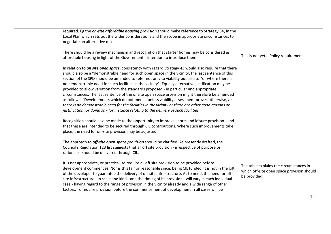| required. Eg the <i>on-site affordable housing provision</i> should make reference to Strategy 34, in the<br>Local Plan which sets out the wider considerations and the scope in appropriate circumstances to |                                            |
|---------------------------------------------------------------------------------------------------------------------------------------------------------------------------------------------------------------|--------------------------------------------|
|                                                                                                                                                                                                               |                                            |
| negotiate an alternative mix.                                                                                                                                                                                 |                                            |
| There should be a review mechanism and recognition that starter homes may be considered as<br>affordable housing in light of the Government's intention to introduce them.                                    | This is not yet a Policy requirement       |
|                                                                                                                                                                                                               |                                            |
| In relation to on site open space, consistency with regard Strategy 43 would also require that there<br>should also be a "demonstrable need for such open space in the vicinity, the last sentence of this    |                                            |
| section of the SPD should be amended to refer not only to viability but also to "or where there is                                                                                                            |                                            |
| no demonstrable need for such facilities in the vicinity". Equally alternative justification may be<br>provided to allow variation from the standards proposed - in particular and appropriate                |                                            |
| circumstances. The last sentence of the onsite open space provision might therefore be amended                                                                                                                |                                            |
| as follows: "Developments which do not meet  unless viability assessment proves otherwise, or<br>there is no demonstrable need for the facilities in the vicinity or there are other good reasons or          |                                            |
| justification for doing so - for instance relating to the delivery of such facilities                                                                                                                         |                                            |
| Recognition should also be made to the opportunity to improve sports and leisure provision - and                                                                                                              |                                            |
| that these are intended to be secured through CIL contributions. Where such improvements take<br>place, the need for on-site provision may be adjusted.                                                       |                                            |
|                                                                                                                                                                                                               |                                            |
| The approach to <i>off-site open space provision</i> should be clarified. As presently drafted, the<br>Council's Regulation 123 list suggests that all off site provision - irrespective of purpose or        |                                            |
| rationale - should be delivered through CIL.                                                                                                                                                                  |                                            |
| It is not appropriate, or practical, to require all off site provision to be provided before                                                                                                                  | The table explains the circumstances in    |
| development commences. Nor is this fair or reasonable since, being CIL funded, it is not in the gift<br>of the developer to guarantee the delivery of off-site infrastructure. As to need, the need for off-  | which off-site open space provision should |
| site infrastructure - in scale and kind - and the timing of its provision - will vary in each individual                                                                                                      | be provided.                               |
| case - having regard to the range of provision in the vicinity already and a wide range of other<br>factors. To require provision before the commencement of development in all cases will be                 |                                            |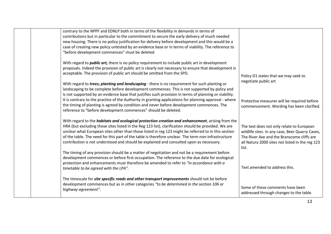| contrary to the NPPF and EDNLP both in terms of the flexibility in demands in terms of<br>contributions but in particular to the commitment to secure the early delivery of much needed<br>new housing. There is no policy justification for delivery before development and this would be a<br>case of creating new policy untested by an evidence base or in terms of viability. The reference to<br>"before development commences" must be deleted                                                                                                                                                                      |                                                                                                                                                                                                        |
|----------------------------------------------------------------------------------------------------------------------------------------------------------------------------------------------------------------------------------------------------------------------------------------------------------------------------------------------------------------------------------------------------------------------------------------------------------------------------------------------------------------------------------------------------------------------------------------------------------------------------|--------------------------------------------------------------------------------------------------------------------------------------------------------------------------------------------------------|
| With regard to <i>public art</i> , there is no policy requirement to include public art in development<br>proposals. Indeed the provision of public art is clearly not necessary to ensure that development is<br>acceptable. The provision of public art should be omitted from the SPD.                                                                                                                                                                                                                                                                                                                                  | Policy D1 states that we may seek to<br>negotiate public art                                                                                                                                           |
| With regard to <i>trees; planting and landscaping</i> - there is no requirement for such planting or<br>landscaping to be complete before development commences. This is not supported by policy and<br>is not supported by an evidence base that justifies such provision in terms of planning or viability.<br>It is contrary to the practice of the Authority in granting applications for planning approval - where<br>the timing of planting is agreed by condition and never before development commences. The<br>reference to "before development commences" should be deleted.                                     | Protective measures will be required before<br>commencement. Wording has been clarified.                                                                                                               |
| With regard to the <i>habitats and ecological protection creation and enhancement</i> , arising from the<br>HRA (but excluding those sites listed in the Reg 123 list), clarification should be provided. We are<br>unclear what European sites other than those listed in reg 123 might be referred to in this section<br>of the table. The need for this part of the table is therefore unclear. The term non-infrastructure<br>contribution is not understood and should be explained and consulted upon as necessary.<br>The timing of any provision should be a matter of negotiation and not be a requirement before | The text does not only relate to European<br>wildlife sites. In any case, Beer Quarry Caves,<br>The River Axe and the Branscome cliffs are<br>all Natura 2000 sites not listed in the reg 123<br>list. |
| development commences or before first occupation. The reference to the due date for ecological<br>protection and enhancements must therefore be amended to refer to "in accordance with a<br>timetable to be agreed with the LPA".                                                                                                                                                                                                                                                                                                                                                                                         | Text amended to address this.                                                                                                                                                                          |
| The timescale for site specific roads and other transport improvements should not be before<br>development commences but as in other categories "to be determined in the section 106 or<br>highway agreement".                                                                                                                                                                                                                                                                                                                                                                                                             | Some of these comments have been<br>addressed through changes to the table.                                                                                                                            |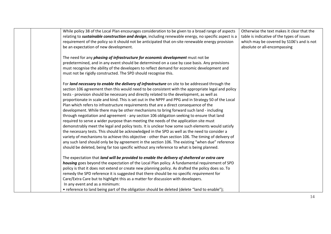| While policy 38 of the Local Plan encourages consideration to be given to a broad range of aspects<br>relating to <i>sustainable construction and design</i> , including renewable energy, no specific aspect is a<br>requirement of the policy so it should not be anticipated that on-site renewable energy provision<br>be an expectation of new development. | Otherwise the text makes it clear that the<br>table is indicative of the types of issues<br>which may be covered by S106's and is not<br>absolute or all-encompassing |
|------------------------------------------------------------------------------------------------------------------------------------------------------------------------------------------------------------------------------------------------------------------------------------------------------------------------------------------------------------------|-----------------------------------------------------------------------------------------------------------------------------------------------------------------------|
| The need for any <i>phasing of infrastructure for economic development</i> must not be                                                                                                                                                                                                                                                                           |                                                                                                                                                                       |
| predetermined, and in any event should be determined on a case by case basis. Any provisions                                                                                                                                                                                                                                                                     |                                                                                                                                                                       |
| must recognise the ability of the developers to reflect demand for economic development and                                                                                                                                                                                                                                                                      |                                                                                                                                                                       |
| must not be rigidly constructed. The SPD should recognise this.                                                                                                                                                                                                                                                                                                  |                                                                                                                                                                       |
| For land necessary to enable the delivery of infrastructure on site to be addressed through the                                                                                                                                                                                                                                                                  |                                                                                                                                                                       |
| section 106 agreement then this would need to be consistent with the appropriate legal and policy                                                                                                                                                                                                                                                                |                                                                                                                                                                       |
| tests - provision should be necessary and directly related to the development, as well as                                                                                                                                                                                                                                                                        |                                                                                                                                                                       |
| proportionate in scale and kind. This is set out in the NPPF and PPG and in Strategy 50 of the Local                                                                                                                                                                                                                                                             |                                                                                                                                                                       |
| Plan which refers to infrastructure requirements that are a direct consequence of the                                                                                                                                                                                                                                                                            |                                                                                                                                                                       |
| development. While there may be other mechanisms to bring forward such land - including                                                                                                                                                                                                                                                                          |                                                                                                                                                                       |
| through negotiation and agreement - any section 106 obligation seeking to ensure that land                                                                                                                                                                                                                                                                       |                                                                                                                                                                       |
| required to serve a wider purpose than meeting the needs of the application site must                                                                                                                                                                                                                                                                            |                                                                                                                                                                       |
| demonstrably meet the legal and policy tests. It is unclear how some such elements would satisfy                                                                                                                                                                                                                                                                 |                                                                                                                                                                       |
| the necessary tests. This should be acknowledged in the SPD as well as the need to consider a                                                                                                                                                                                                                                                                    |                                                                                                                                                                       |
| variety of mechanisms to achieve this objective - other than section 106. The timing of delivery of                                                                                                                                                                                                                                                              |                                                                                                                                                                       |
| any such land should only be by agreement in the section 106. The existing "when due" reference                                                                                                                                                                                                                                                                  |                                                                                                                                                                       |
| should be deleted, being far too specific without any reference to what is being planned.                                                                                                                                                                                                                                                                        |                                                                                                                                                                       |
| The expectation that land will be provided to enable the delivery of sheltered or extra care                                                                                                                                                                                                                                                                     |                                                                                                                                                                       |
| housing goes beyond the expectation of the Local Plan policy. A fundamental requirement of SPD                                                                                                                                                                                                                                                                   |                                                                                                                                                                       |
| policy is that it does not extend or create new planning policy. As drafted the policy does so. To                                                                                                                                                                                                                                                               |                                                                                                                                                                       |
| remedy the SPD reference it is suggested that there should be no specific requirement for                                                                                                                                                                                                                                                                        |                                                                                                                                                                       |
| Care/Extra Care but to highlight this as a matter for discussion with developers.                                                                                                                                                                                                                                                                                |                                                                                                                                                                       |
| In any event and as a minimum:                                                                                                                                                                                                                                                                                                                                   |                                                                                                                                                                       |
| • reference to land being part of the obligation should be deleted (delete "land to enable");                                                                                                                                                                                                                                                                    |                                                                                                                                                                       |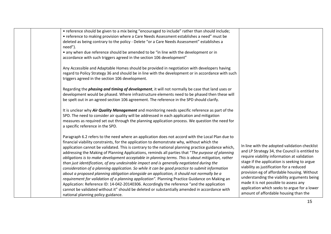| • reference should be given to a mix being "encouraged to include" rather than should include;<br>• reference to making provision where a Care Needs Assessment establishes a need" must be<br>deleted as being contrary to the policy - Delete "or a Care Needs Assessment" establishes a |                                                                                       |
|--------------------------------------------------------------------------------------------------------------------------------------------------------------------------------------------------------------------------------------------------------------------------------------------|---------------------------------------------------------------------------------------|
| need").                                                                                                                                                                                                                                                                                    |                                                                                       |
| • any when due reference should be amended to be "in line with the development or in<br>accordance with such triggers agreed in the section 106 development"                                                                                                                               |                                                                                       |
|                                                                                                                                                                                                                                                                                            |                                                                                       |
| Any Accessible and Adaptable Homes should be provided in negotiation with developers having                                                                                                                                                                                                |                                                                                       |
| regard to Policy Strategy 36 and should be in line with the development or in accordance with such<br>triggers agreed in the section 106 development.                                                                                                                                      |                                                                                       |
|                                                                                                                                                                                                                                                                                            |                                                                                       |
| Regarding the <i>phasing and timing of development</i> , it will not normally be case that land uses or                                                                                                                                                                                    |                                                                                       |
| development would be phased. Where infrastructure elements need to be phased then these will                                                                                                                                                                                               |                                                                                       |
| be spelt out in an agreed section 106 agreement. The reference in the SPD should clarify.                                                                                                                                                                                                  |                                                                                       |
| It is unclear why Air Quality Management and monitoring needs specific reference as part of the                                                                                                                                                                                            |                                                                                       |
| SPD. The need to consider air quality will be addressed in each application and mitigation                                                                                                                                                                                                 |                                                                                       |
| measures as required set out through the planning application process. We question the need for                                                                                                                                                                                            |                                                                                       |
| a specific reference in the SPD.                                                                                                                                                                                                                                                           |                                                                                       |
| Paragraph 6.2 refers to the need where an application does not accord with the Local Plan due to                                                                                                                                                                                           |                                                                                       |
| financial viability constraints, for the application to demonstrate why, without which the                                                                                                                                                                                                 | In line with the adopted validation checklist                                         |
| application cannot be validated. This is contrary to the national planning practice guidance which,                                                                                                                                                                                        | and LP Strategy 34, the Council is entitled to                                        |
| addressing the Making of Planning Applications, reminds all parties that "The purpose of planning<br>obligations is to make development acceptable in planning terms. This is about mitigation, rather                                                                                     | require viability information at validation                                           |
| than just identification, of any undesirable impact and is generally negotiated during the                                                                                                                                                                                                 | stage if the application is seeking to argue                                          |
| consideration of a planning application. So while it can be good practice to submit information                                                                                                                                                                                            | viability as justification for a reduced                                              |
| about a proposed planning obligation alongside an application, it should not normally be a                                                                                                                                                                                                 | provision eg of affordable housing. Without                                           |
| requirement for validation of a planning application". Planning Practice Guidance on Making an                                                                                                                                                                                             | understanding the viability arguments being                                           |
| Application: Reference ID: 14-042-20140306. Accordingly the reference "and the application                                                                                                                                                                                                 | made it is not possible to assess any                                                 |
| cannot be validated without it" should be deleted or substantially amended in accordance with                                                                                                                                                                                              | application which seeks to argue for a lower<br>amount of affordable housing than the |
| national planning policy guidance.                                                                                                                                                                                                                                                         |                                                                                       |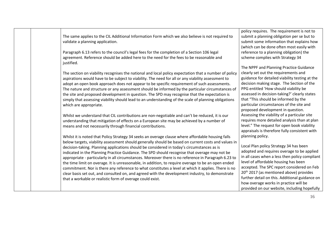The same applies to the CIL Additional Information Form which we also believe is not required to validate a planning application. Paragraph 6.13 refers to the council's legal fees for the completion of a Section 106 legal agreement. Reference should be added here to the need for the fees to be reasonable and justified. The section on viability recognises the national and local policy expectation that a number of policy aspirations would have to be subject to viability. The need for all or any viability assessment to adopt an open book approach does not appear to be specific requirement of such assessments. The nature and structure or any assessment should be informed by the particular circumstances of the site and proposed development in question. The SPD may recognise that the expectation is simply that assessing viability should lead to an understanding of the scale of planning obligations which are appropriate. Whilst we understand that CIL contributions are non-negotiable and can't be reduced, it is our understanding that mitigation of effects on a European site may be achieved by a number of means and not necessarily through financial contributions. Whilst it is noted that Policy Strategy 34 seeks an overage clause where affordable housing falls below targets, viability assessment should generally should be based on current costs and values in decision-taking. Planning applications should be considered in today's circumstances as is indicated in the Planning Practice Guidance. The SPD should recognise that overage may not be appropriate - particularly in all circumstances. Moreover there is no reference in Paragraph 6.23 to the time limit on overage. It is unreasonable, in addition, to require overage to be an open ended commitment. Nor is there any reference to what constitutes a level at which it applies. There is no clear basis set out, and consulted on, and agreed with the development industry, to demonstrate that a workable or realistic form of overage could exist. policy requires. The requirement is not to submit a planning obligation per se but to submit some information that explains how (which can be done often most easily with reference to a planning obligation) the scheme complies with Strategy 34 The NPPF and Planning Practice Guidance clearly set out the requirements and guidance for detailed viability testing at the decision making stage. The Section of the PPG entitled 'How should viability be assessed in decision-taking?' clearly states that "This should be informed by the particular circumstances of the site and proposed development in question. Assessing the viability of a particular site requires more detailed analysis than at plan level." The request for open book viability appraisals is therefore fully consistent with planning policy. Local Plan policy Strategy 34 has been adopted and requires overage to be applied in all cases when a less then policy compliant level of affordable housing has been accepted. The SPC report considered on Feb 20<sup>th</sup> 2017 (as mentioned above) provides further detail on this. Additional guidance on how overage works in practice will be provided on our website, including hopefully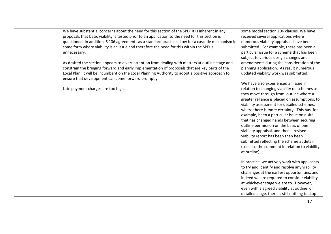We have substantial concerns about the need for this section of the SPD. It is inherent in any proposals that basic viability is tested prior to an application so the need for this section is questioned. In addition, S 106 agreements as a standard practice allow for a cascade mechanism in some form where viability is an issue and therefore the need for this within the SPD is unnecessary.

As drafted the section appears to divert attention from dealing with matters at outline stage and constrain the bringing forward and early implementation of proposals that are key parts of the Local Plan. It will be incumbent on the Local Planning Authority to adopt a positive approach to ensure that development can come forward promptly.

Late payment charges are too high.

some model section 106 clauses. We have received several applications where numerous viability appraisals have been submitted. For example, there has been a particular issue for a scheme that has been subject to various design changes and amendments during the consideration of the planning application. As result numerous updated viability work was submitted.

We have also experienced an issue in relation to changing viability on schemes as they move through from outline where a greater reliance is placed on assumptions, to viability assessment for detailed schemes, where there is more certainty. This has, for example, been a particular issue on a site that has changed hands between securing outline permission on the basis of one viability appraisal, and then a revised viability report has been then been submitted reflecting the scheme at detail (see also the comment in relation to viability at outline).

In practice, we actively work with applicants to try and identify and resolve any viability challenges at the earliest opportunities, and indeed we are required to consider viability at whichever stage we are to. However, even with a agreed viability at outline, or detailed stage, there is still nothing to stop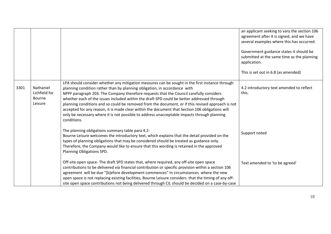|      |                                                 |                                                                                                                                                                                                                                                                                                                                                                                                                                                                                                                                                                                                                                                                                             | an applicant seeking to vary the section 106<br>agreement after it is signed, and we have             |
|------|-------------------------------------------------|---------------------------------------------------------------------------------------------------------------------------------------------------------------------------------------------------------------------------------------------------------------------------------------------------------------------------------------------------------------------------------------------------------------------------------------------------------------------------------------------------------------------------------------------------------------------------------------------------------------------------------------------------------------------------------------------|-------------------------------------------------------------------------------------------------------|
|      |                                                 |                                                                                                                                                                                                                                                                                                                                                                                                                                                                                                                                                                                                                                                                                             | several examples where this has occurred.                                                             |
|      |                                                 |                                                                                                                                                                                                                                                                                                                                                                                                                                                                                                                                                                                                                                                                                             | Government guidance states it should be<br>submitted at the same time as the planning<br>application. |
|      |                                                 |                                                                                                                                                                                                                                                                                                                                                                                                                                                                                                                                                                                                                                                                                             | This is set out in 6.8 (as amended)                                                                   |
| 3301 | Nathaniel<br>Lichfield for<br>Bourne<br>Leisure | LPA should consider whether any mitigation measures can be sought in the first instance through<br>planning condition rather than by planning obligation, in accordance with<br>NPPF paragraph 203. The Company therefore requests that the Council carefully considers<br>whether each of the issues included within the draft SPD could be better addressed through<br>planning conditions and so could be removed from the document, or if this revised approach is not<br>accepted for any reason, it is made clear within the document that Section 106 obligations will<br>only be necessary where it is not possible to address unacceptable impacts through planning<br>conditions. | 4.2 introductory text amended to reflect<br>this.                                                     |
|      |                                                 | The planning obligations summary table para 4.2-<br>Bourne Leisure welcomes the introductory text, which explains that the detail provided on the<br>types of planning obligations that may be considered should be treated as guidance only.<br>Therefore, the Company would like to ensure that this wording is retained in the approved<br>Planning Obligations SPD.                                                                                                                                                                                                                                                                                                                     | Support noted                                                                                         |
|      |                                                 | Off-site open space-The draft SPD states that, where required, any off-site open space<br>contributions to be delivered via financial contribution or specific provision within a section 106<br>agreement will be due "[b]efore development commences" In circumstances where the new<br>open space is not replacing existing facilities, Bourne Leisure considers that the timing of any off-<br>site open space contributions not being delivered through CIL should be decided on a case-by-case                                                                                                                                                                                        | Text amended to 'to be agreed'                                                                        |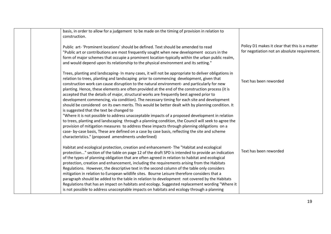| basis, in order to allow for a judgement to be made on the timing of provision in relation to<br>construction.                                                                                                                                                                                                                                                                                                                                                                                                                                                                                                                                                                                                                                                                                                                                                                                                                                          |                                                                                                |
|---------------------------------------------------------------------------------------------------------------------------------------------------------------------------------------------------------------------------------------------------------------------------------------------------------------------------------------------------------------------------------------------------------------------------------------------------------------------------------------------------------------------------------------------------------------------------------------------------------------------------------------------------------------------------------------------------------------------------------------------------------------------------------------------------------------------------------------------------------------------------------------------------------------------------------------------------------|------------------------------------------------------------------------------------------------|
| Public art- 'Prominent locations' should be defined. Text should be amended to read<br>"Public art or contributions are most frequently sought when new development occurs in the<br>form of major schemes that occupie a prominent location-typically within the urban public realm,<br>and would depend upon its relationship to the physical environment and its setting."                                                                                                                                                                                                                                                                                                                                                                                                                                                                                                                                                                           | Policy D1 makes it clear that this is a matter<br>for negotiation not an absolute requirement. |
| Trees, planting and landscaping- In many cases, it will not be appropriate to deliver obligations in<br>relation to trees, planting and landscaping prior to commencing development, given that<br>construction work can cause disruption to the natural environment- and particularly for new<br>planting. Hence, these elements are often provided at the end of the construction process (it is<br>accepted that the details of major, structural works are frequently best agreed prior to<br>development commencing, via condition). The necessary timing for each site and development<br>should be considered on its own merits. This would be better dealt with by planning condition. It<br>is suggested that the text be changed to<br>"Where it is not possible to address unacceptable impacts of a proposed development in relation<br>to trees, planting and landscaping through a planning condition, the Council will seek to agree the | Text has been reworded                                                                         |
| provision of mitigation measures to address these impacts through planning obligations on a<br>case- by-case basis, These are defined on a case by case basis, reflecting the site and scheme<br>characteristics." (proposed amendments underlined)                                                                                                                                                                                                                                                                                                                                                                                                                                                                                                                                                                                                                                                                                                     |                                                                                                |
| Habitat and ecological protection, creation and enhancement-The "Habitat and ecological<br>protection" section of the table on page 12 of the draft SPD is intended to provide an indication<br>of the types of planning obligation that are often agreed in relation to habitat and ecological<br>protection, creation and enhancement, including the requirements arising from the Habitats<br>Regulations. However, the descriptive text in the second column of the table only considers<br>mitigation in relation to European wildlife sites. Bourne Leisure therefore considers that a<br>paragraph should be added to the table in relation to development not covered by the Habitats<br>Regulations that has an impact on habitats and ecology. Suggested replacement wording "Where it                                                                                                                                                        | Text has been reworded                                                                         |
| is not possible to address unacceptable impacts on habitats and ecology through a planning                                                                                                                                                                                                                                                                                                                                                                                                                                                                                                                                                                                                                                                                                                                                                                                                                                                              |                                                                                                |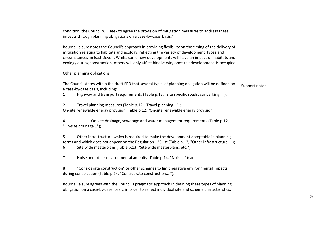| condition, the Council will seek to agree the provision of mitigation measures to address these<br>impacts through planning obligations on a case-by-case basis."                                                                                                                                                                                                                                             |               |
|---------------------------------------------------------------------------------------------------------------------------------------------------------------------------------------------------------------------------------------------------------------------------------------------------------------------------------------------------------------------------------------------------------------|---------------|
| Bourne Leisure notes the Council's approach in providing flexibility on the timing of the delivery of<br>mitigation relating to habitats and ecology, reflecting the variety of development types and<br>circumstances in East Devon. Whilst some new developments will have an impact on habitats and<br>ecology during construction, others will only affect biodiversity once the development is occupied. |               |
| Other planning obligations                                                                                                                                                                                                                                                                                                                                                                                    |               |
| The Council states within the draft SPD that several types of planning obligation will be defined on<br>a case-by-case basis, including:<br>Highway and transport requirements (Table p.12, "Site specific roads, car parking");<br>1                                                                                                                                                                         | Support noted |
| Travel planning measures (Table p.12, "Travel planning");<br>$\overline{2}$<br>On-site renewable energy provision (Table p.12, "On-site renewable energy provision");                                                                                                                                                                                                                                         |               |
| On-site drainage, sewerage and water management requirements (Table p.12,<br>4<br>"On-site drainage");                                                                                                                                                                                                                                                                                                        |               |
| 5<br>Other infrastructure which is required to make the development acceptable in planning<br>terms and which does not appear on the Regulation 123 list (Table p.13, "Other infrastructure");<br>Site wide masterplans (Table p.13, "Site wide masterplans, etc.");<br>6                                                                                                                                     |               |
| Noise and other environmental amenity (Table p.14, "Noise"); and,<br>7                                                                                                                                                                                                                                                                                                                                        |               |
| "Considerate construction" or other schemes to limit negative environmental impacts<br>8<br>during construction (Table p.14, "Considerate construction").                                                                                                                                                                                                                                                     |               |
| Bourne Leisure agrees with the Council's pragmatic approach in defining these types of planning<br>obligation on a case-by-case basis, in order to reflect individual site and scheme characteristics.                                                                                                                                                                                                        |               |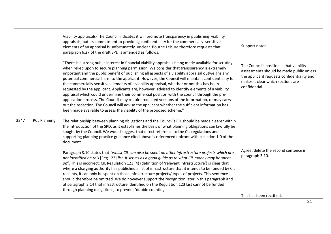|      |                     | Viability appraisals- The Council indicates it will promote transparency in publishing viability<br>appraisals, but its commitment to providing confidentiality for the commercially sensitive<br>elements of an appraisal is unfortunately unclear. Bourne Leisure therefore requests that<br>paragraph 6.27 of the draft SPD is amended as follows:                                                                                                                                                                                                                                                                                                                                                                                                                                                                                                                                                                                                                                          | Support noted                                                                                                                                                                            |
|------|---------------------|------------------------------------------------------------------------------------------------------------------------------------------------------------------------------------------------------------------------------------------------------------------------------------------------------------------------------------------------------------------------------------------------------------------------------------------------------------------------------------------------------------------------------------------------------------------------------------------------------------------------------------------------------------------------------------------------------------------------------------------------------------------------------------------------------------------------------------------------------------------------------------------------------------------------------------------------------------------------------------------------|------------------------------------------------------------------------------------------------------------------------------------------------------------------------------------------|
|      |                     | "There is a strong public interest in financial viability appraisals being made available for scrutiny<br>when relied upon to secure planning permission. We consider that transparency is extremely<br>important and the public benefit of publishing all aspects of a viability appraisal outweighs any<br>potential commercial harm to the applicant. However, the Council will maintain confidentiality for<br>the commercially sensitive elements of a viability appraisal, whether or not this has been<br>requested by the applicant. Applicants are, however. advised to identify elements of a viability<br>appraisal which could undermine their commercial position with the council through the pre-<br>application process. The Council may require redacted versions of the information, or may carry<br>out the redaction. The Council will advise the applicant whether the sufficient information has<br>been made available to assess the viability of the proposed scheme." | The Council's position is that viability<br>assessments should be made public unless<br>the applicant requests confidentiality and<br>makes it clear which sections are<br>confidential. |
| 3347 | <b>PCL Planning</b> | The relationship between planning obligations and the Council's CIL should be made clearer within<br>the introduction of the SPD, as it establishes the basis of what planning obligations can lawfully be<br>sought by the Council. We would suggest that direct reference to the CIL regulations and<br>supporting planning practice guidance cited above is referenced upfront within section 1.0 of the<br>document.                                                                                                                                                                                                                                                                                                                                                                                                                                                                                                                                                                       |                                                                                                                                                                                          |
|      |                     | Paragraph 3.10 states that "whilst CIL can also be spent on other infrastructure projects which are<br>not identified on this [Reg 123] list, it serves as a good guide as to what CIL money may be spent<br>on". This is incorrect. CIL Regulation 123 (4) (definition of 'relevant infrastructure') is clear that<br>where a charging authority has published a list of infrastructure that it intends to be funded by CIL<br>receipts, it can only be spent on those infrastructure projects/ types of projects. This sentence<br>should therefore be omitted. We do however support the recognition later in this paragraph and<br>at paragraph 3.14 that infrastructure identified on the Regulation 123 List cannot be funded<br>through planning obligations, to prevent 'double counting'.                                                                                                                                                                                             | Agree: delete the second sentence in<br>paragraph 3.10.                                                                                                                                  |
|      |                     |                                                                                                                                                                                                                                                                                                                                                                                                                                                                                                                                                                                                                                                                                                                                                                                                                                                                                                                                                                                                | This has been rectified.                                                                                                                                                                 |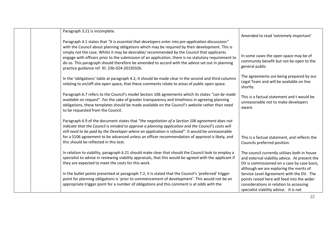| Paragraph 3.21 is incomplete.                                                                                                                                                                                                                                                                                                                          |                                                                                                                                                                                         |
|--------------------------------------------------------------------------------------------------------------------------------------------------------------------------------------------------------------------------------------------------------------------------------------------------------------------------------------------------------|-----------------------------------------------------------------------------------------------------------------------------------------------------------------------------------------|
|                                                                                                                                                                                                                                                                                                                                                        | Amended to read 'extremely important'                                                                                                                                                   |
| Paragraph 4.1 states that "it is essential that developers enter into pre-application discussions"<br>with the Council about planning obligations which may be required by their development. This is                                                                                                                                                  |                                                                                                                                                                                         |
| simply not the case. Whilst it may be desirable/ recommended by the Council that applicants<br>engage with officers prior to the submission of an application, there is no statutory requirement to<br>do so. This paragraph should therefore be amended to accord with the advice set out in planning<br>practice guidance ref. ID: 23b-024-20150326. | In some cases the open space may be of<br>community benefit but not be open to the<br>general public                                                                                    |
| In the 'obligations' table at paragraph 4.2, it should be made clear in the second and third columns<br>relating to on/off-site open space, that these comments relate to areas of <i>public</i> open space.                                                                                                                                           | The agreements are being prepared by our<br>Legal Team and will be available on line<br>shortly.                                                                                        |
| Paragraph 6.7 refers to the Council's model Section 106 agreements which its states "can be made<br>available on request". For the sake of greater transparency and timeliness in agreeing planning<br>obligations, these templates should be made available on the Council's website rather than need<br>to be requested from the Council.            | This is a factual statement and t would be<br>unreasonable not to make developers<br>aware.                                                                                             |
| Paragraph 6.9 of the document states that "the negotiation of a Section 106 agreement does not<br>indicate that the Council is minded to approve a planning application and the Council's costs will<br>still need to be paid by the Developer where an application is refused". It would be unreasonable                                              |                                                                                                                                                                                         |
| for a S106 agreement to be advanced unless an officer recommendation of approval is likely, and<br>this should be reflected in this text.                                                                                                                                                                                                              | This is a factual statement, and reflects the<br>Councils preferred position.                                                                                                           |
| In relation to viability, paragraph 6.21 should make clear that should the Council look to employ a<br>specialist to advise in reviewing viability appraisals, that this would be agreed with the applicant if<br>they are expected to meet the costs for this work.                                                                                   | The council currently utilises both in house<br>and external viability advice. At present the<br>DV is commissioned on a case by case basis,<br>although we are exploring the merits of |
| In the bullet points presented at paragraph 7.2, it is stated that the Council's 'preferred' trigger<br>point for planning obligations is 'prior to commencement of development'. This would not be an<br>appropriate trigger point for a number of obligations and this comment is at odds with the                                                   | Service Level Agreement with the DV. The<br>points raised here will feed into the wider<br>considerations in relation to accessing<br>specialist viability advice. It is not            |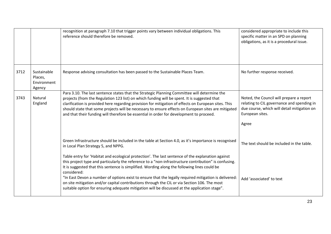|      |                                                 | recognition at paragraph 7.10 that trigger points vary between individual obligations. This<br>reference should therefore be removed.                                                                                                                                                                                                                                                                                                                                                                                                                                                                                                                                              | considered appropriate to include this<br>specific matter in an SPD on planning<br>obligations, as it is a procedural issue.                                      |
|------|-------------------------------------------------|------------------------------------------------------------------------------------------------------------------------------------------------------------------------------------------------------------------------------------------------------------------------------------------------------------------------------------------------------------------------------------------------------------------------------------------------------------------------------------------------------------------------------------------------------------------------------------------------------------------------------------------------------------------------------------|-------------------------------------------------------------------------------------------------------------------------------------------------------------------|
| 3712 | Sustainable<br>Places,<br>Environment<br>Agency | Response advising consultation has been passed to the Sustainable Places Team.                                                                                                                                                                                                                                                                                                                                                                                                                                                                                                                                                                                                     | No further response received.                                                                                                                                     |
| 3743 | Natural<br>England                              | Para 3.10. The last sentence states that the Strategic Planning Committee will determine the<br>projects (from the Regulation 123 list) on which funding will be spent. It is suggested that<br>clarification is provided here regarding provision for mitigation of effects on European sites. This<br>should state that some projects will be necessary to ensure effects on European sites are mitigated<br>and that their funding will therefore be essential in order for development to proceed.                                                                                                                                                                             | Noted, the Council will prepare a report<br>relating to CIL governance and spending in<br>due course, which will detail mitigation on<br>European sites.<br>Agree |
|      |                                                 | Green Infrastructure should be included in the table at Section 4.0, as it's importance is recognised<br>in Local Plan Strategy 5, and NPPG.<br>Table entry for 'Habitat and ecological protection'. The last sentence of the explanation against<br>this project type and particularly the reference to a "non-infrastructure contribution" is confusing.<br>It is suggested that this sentence is simplified. Wording along the following lines could be<br>considered:<br>"In East Devon a number of options exist to ensure that the legally required mitigation is delivered:<br>on site mitigation and/or capital contributions through the CIL or via Section 106. The most | The text should be included in the table.<br>Add 'associated' to text                                                                                             |
|      |                                                 | suitable option for ensuring adequate mitigation will be discussed at the application stage".                                                                                                                                                                                                                                                                                                                                                                                                                                                                                                                                                                                      |                                                                                                                                                                   |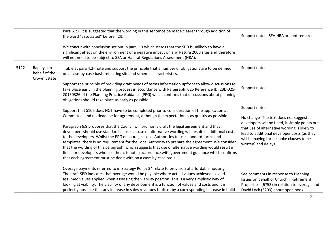|      |                                             | Para 6.22. It is suggested that the wording in this sentence be made clearer through addition of<br>the word "associated" before "CIL".                                                                                                                                                                                                                                                                                                                                                                                                                                                                                                                                        | Support noted, SEA HRA are not required.                                                                                                                                                                          |
|------|---------------------------------------------|--------------------------------------------------------------------------------------------------------------------------------------------------------------------------------------------------------------------------------------------------------------------------------------------------------------------------------------------------------------------------------------------------------------------------------------------------------------------------------------------------------------------------------------------------------------------------------------------------------------------------------------------------------------------------------|-------------------------------------------------------------------------------------------------------------------------------------------------------------------------------------------------------------------|
|      |                                             | We concur with conclusion set out in para 1.3 which states that the SPD is unlikely to have a<br>significant effect on the environment or a negative impact on any Natura 2000 sites and therefore<br>will not need to be subject to SEA or Habitat Regulations Assessment (HRA).                                                                                                                                                                                                                                                                                                                                                                                              |                                                                                                                                                                                                                   |
| 5122 | Rapleys on<br>behalf of the<br>Crown Estate | Table at para 4.2- note and support the principle that a number of obligations are to be defined<br>on a case-by-case basis reflecting site and scheme characteristics.                                                                                                                                                                                                                                                                                                                                                                                                                                                                                                        | Support noted                                                                                                                                                                                                     |
|      |                                             | Support the principle of providing draft heads of terms information upfront to allow discussions to<br>take place early in the planning process in accordance with Paragraph: 025 Reference ID: 23b-025-<br>20150326 of the Planning Practice Guidance (PPG) which confirms that discussions about planning<br>obligations should take place as early as possible.                                                                                                                                                                                                                                                                                                             | Support noted                                                                                                                                                                                                     |
|      |                                             | Support that S106 does NOT have to be completed prior to consideration of the application at<br>Committee, and no deadline for agreement, although the expectation is as quickly as possible.                                                                                                                                                                                                                                                                                                                                                                                                                                                                                  | Support noted<br>No change-The text does not suggest                                                                                                                                                              |
|      |                                             | Paragraph 6.8 proposes that the Council will ordinarily draft the legal agreement and that<br>developers should use standard clauses as use of alternative wording will result in additional costs<br>to the developers. Whilst the PPG encourages Local Authorities to use standard forms and<br>templates, there is no requirement for the Local Authority to prepare the agreement. We consider<br>that the wording of this paragraph, which suggests that use of alternative wording would result in<br>fines for developers who use them, is not in accordance with government guidance which confirms<br>that each agreement must be dealt with on a case-by-case basis. | developers will be fined, it simply points out<br>that use of alternative wording is likely to<br>lead to additional developer costs (as they<br>will be paying for bespoke clauses to be<br>written) and delays. |
|      |                                             | Overage payments referred to in Strategy Policy 34 relate to provision of affordable housing.<br>The draft SPD indicates that overage would be payable where actual values achieved exceed<br>assumed values applied when assessing the viability position. This is a very simplistic way of<br>looking at viability. The viability of any development is a function of values and costs and it is<br>perfectly possible that any increase in sales revenues is offset by a corresponding increase in build                                                                                                                                                                    | See comments in response to Planning<br>Issues on behalf of Churchill Retirement<br>Properties (6753) in relation to overage and<br>David Lock (3209) about open book                                             |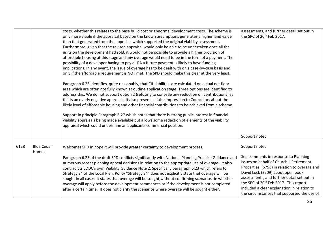|      |                            | costs, whether this relates to the base build cost or abnormal development costs. The scheme is<br>only more viable if the appraisal based on the known assumptions generates a higher land value<br>than that generated from the appraisal which supported the original viability assessment.<br>Furthermore, given that the revised appraisal would only be able to be undertaken once all the<br>units on the development had sold, it would not be possible to provide a higher provision of<br>affordable housing at this stage and any overage would need to be in the form of a payment. The<br>possibility of a developer having to pay a LPA a future payment is likely to have funding<br>implications. In any event, the issue of overage has to be dealt with on a case-by-case basis and<br>only if the affordable requirement is NOT met. The SPD should make this clear at the very least.<br>Paragraph 6.25 identifies, quite reasonably, that CIL liabilities are calculated on actual net floor<br>area which are often not fully known at outline application stage. Three options are identified to<br>address this. We do not support option 2 (refusing to concede any reduction on contributions) as<br>this is an overly negative approach. It also presents a false impression to Councillors about the<br>likely level of affordable housing and other financial contributions to be achieved from a scheme.<br>Support in principle Paragraph 6.27 which notes that there is strong public interest in financial<br>viability appraisals being made available but allows some redaction of elements of the viability<br>appraisal which could undermine an applicants commercial position. | assessments, and further detail set out in<br>the SPC of 20 <sup>th</sup> Feb 2017.                                                                                                                                                                                                                                            |
|------|----------------------------|-----------------------------------------------------------------------------------------------------------------------------------------------------------------------------------------------------------------------------------------------------------------------------------------------------------------------------------------------------------------------------------------------------------------------------------------------------------------------------------------------------------------------------------------------------------------------------------------------------------------------------------------------------------------------------------------------------------------------------------------------------------------------------------------------------------------------------------------------------------------------------------------------------------------------------------------------------------------------------------------------------------------------------------------------------------------------------------------------------------------------------------------------------------------------------------------------------------------------------------------------------------------------------------------------------------------------------------------------------------------------------------------------------------------------------------------------------------------------------------------------------------------------------------------------------------------------------------------------------------------------------------------------------------------------------------------------------------------------|--------------------------------------------------------------------------------------------------------------------------------------------------------------------------------------------------------------------------------------------------------------------------------------------------------------------------------|
|      |                            |                                                                                                                                                                                                                                                                                                                                                                                                                                                                                                                                                                                                                                                                                                                                                                                                                                                                                                                                                                                                                                                                                                                                                                                                                                                                                                                                                                                                                                                                                                                                                                                                                                                                                                                       | Support noted                                                                                                                                                                                                                                                                                                                  |
| 6128 | <b>Blue Cedar</b><br>Homes | Welcomes SPD in hope it will provide greater certainty to development process.<br>Paragraph 6.23 of the draft SPD conflicts significantly with National Planning Practice Guidance and                                                                                                                                                                                                                                                                                                                                                                                                                                                                                                                                                                                                                                                                                                                                                                                                                                                                                                                                                                                                                                                                                                                                                                                                                                                                                                                                                                                                                                                                                                                                | Support noted<br>See comments in response to Planning                                                                                                                                                                                                                                                                          |
|      |                            | numerous recent planning appeal decisions in relation to the appropriate use of overage. It also<br>contradicts EDDC's own Viability Guidance Note 2. Specifically paragraph 6.23 which refers to<br>Strategy 34 of the Local Plan. Policy "Strategy 34" does not explicitly state that overage will be<br>sought in all cases. It states that overage will be sought, without confirming scenarios- ie whether<br>overage will apply before the development commences or if the development is not completed<br>after a certain time. It does not clarify the scenarios where overage will be sought either.                                                                                                                                                                                                                                                                                                                                                                                                                                                                                                                                                                                                                                                                                                                                                                                                                                                                                                                                                                                                                                                                                                         | Issues on behalf of Churchill Retirement<br>Properties (6753) in relation to overage and<br>David Lock (3209) about open book<br>assessments, and further detail set out in<br>the SPC of 20 <sup>th</sup> Feb 2017. This report<br>included a clear explanation in relation to<br>the circumstances that supported the use of |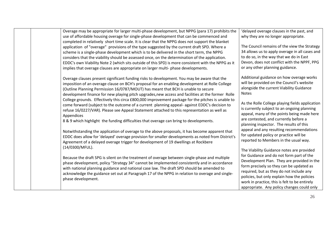| Overage may be appropriate for larger multi-phase development, but NPPG (para 17) prohibits the<br>use of affordable housing overage for single-phase development that can be commenced and<br>completed in relatively short time scale. It is clear that the NPPG does not support the blanket<br>application of "overage" provisions of the type suggested by the current draft SPD. Where a<br>scheme is a single-phase development which is to be delivered in the short term, the NPPG<br>considers that the viability should be assessed once, on the determination of the application.<br>EDDC's own Viability Note 2 (which sits outside of this SPD) is more consistent with the NPPG as it<br>implies that overage clauses are appropriate on larger multi-phase developments.                                                                                                                                                                                                                                                                                                                             | 'delayed overage clauses in the past, and<br>why they are no longer appropriate.<br>The Council remains of the view the Strategy<br>34 allows us to apply overage in all cases and<br>to do so, in the way that we do in East<br>Devon, does not conflict with the NPPF, PPG<br>or any other planning guidance.                                                                                                                                                                                                      |  |
|----------------------------------------------------------------------------------------------------------------------------------------------------------------------------------------------------------------------------------------------------------------------------------------------------------------------------------------------------------------------------------------------------------------------------------------------------------------------------------------------------------------------------------------------------------------------------------------------------------------------------------------------------------------------------------------------------------------------------------------------------------------------------------------------------------------------------------------------------------------------------------------------------------------------------------------------------------------------------------------------------------------------------------------------------------------------------------------------------------------------|----------------------------------------------------------------------------------------------------------------------------------------------------------------------------------------------------------------------------------------------------------------------------------------------------------------------------------------------------------------------------------------------------------------------------------------------------------------------------------------------------------------------|--|
| Overage clauses present significant funding risks to development. You may be aware that the<br>imposition of an overage clause on BCH's proposal for an enabling development at Rolle College<br>(Outline Planning Permission 16/0787/MOUT) has meant that BCH is unable to secure<br>development finance for new playing pitch upgrades, new access and facilities at the former Rolle<br>College grounds. Effectively this circa £800,000 improvement package for the pitches is unable to<br>come forward (subject to the outcome of a current planning appeal- against EDDC's decision to<br>refuse 16/0227/VAR). Please see Appeal Statement attached to this representation as well as<br>Appendices<br>8 & 9 which highlight the funding difficulties that overage can bring to developments.<br>Notwithstanding the application of overage to the above proposals, it has become apparent that<br>EDDC does allow for 'delayed' overage provision for smaller developments as noted from District's<br>Agreement of a delayed overage trigger for development of 19 dwellings at Rockbere<br>(14/0300/MFUL). | Additional guidance on how overage works<br>will be provided on the Council's website<br>alongside the current Viability Guidance<br><b>Notes</b><br>As the Rolle College playing fields application<br>is currently subject to an ongoing planning<br>appeal, many of the points being made here<br>are contested, and currently before a<br>planning inspector. The results of this<br>appeal and any resulting recommendations<br>for updated policy or practice will be<br>reported to Members in the usual way. |  |
| Because the draft SPG is silent on the treatment of overage between single-phase and multiple<br>phase development, policy "Strategy 34" cannot be implemented consistently and in accordance<br>with national planning guidance and national case law. The draft SPD should be amended to<br>acknowledge the guidance set out at Paragraph 17 of the NPPG in relation to overage and single-<br>phase development.                                                                                                                                                                                                                                                                                                                                                                                                                                                                                                                                                                                                                                                                                                  | The Viability Guidance notes are provided<br>for Guidance and do not form part of the<br>Development Plan. They are provided in the<br>form precisely so they can be updated as<br>required, but as they do not include any<br>policies, but only explain how the policies<br>work in practice, this is felt to be entirely<br>appropriate. Any policy changes could only                                                                                                                                            |  |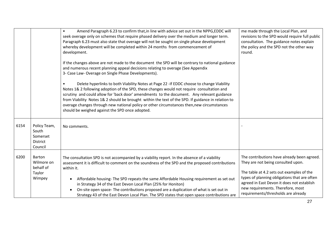|      |                                                                 | Amend Paragraph 6.23 to confirm that, in line with advice set out in the NPPG, EDDC will<br>$\bullet$<br>seek overage only on schemes that require phased delivery over the medium and longer term.<br>Paragraph 6.23 must also state that overage will not be sought on single phase development<br>whereby development will be completed within 24 months from commencement of<br>development.<br>If the changes above are not made to the document the SPD will be contrary to national guidance<br>and numerous recent planning appeal decisions relating to overage (See Appendix<br>3- Case Law- Overage on Single Phase Developments).<br>Delete hyperlinks to both Viability Notes at Page 22 - If EDDC choose to change Viability<br>Notes 1& 2 following adoption of the SPD, these changes would not require consultation and<br>scrutiny and could allow for 'back door' amendments to the document. Any relevant guidance<br>from Viability Notes 1& 2 should be brought within the text of the SPD. If guidance in relation to<br>overage changes through new national policy or other circumstances then, new circumstances<br>should be weighed against the SPD once adopted. | me made through the Local Plan, and<br>revisions to the SPD would require full public<br>consultation. The guidance notes explain<br>the policy and the SPD not the other way<br>round.                                                                                                                  |
|------|-----------------------------------------------------------------|-----------------------------------------------------------------------------------------------------------------------------------------------------------------------------------------------------------------------------------------------------------------------------------------------------------------------------------------------------------------------------------------------------------------------------------------------------------------------------------------------------------------------------------------------------------------------------------------------------------------------------------------------------------------------------------------------------------------------------------------------------------------------------------------------------------------------------------------------------------------------------------------------------------------------------------------------------------------------------------------------------------------------------------------------------------------------------------------------------------------------------------------------------------------------------------------------|----------------------------------------------------------------------------------------------------------------------------------------------------------------------------------------------------------------------------------------------------------------------------------------------------------|
| 6154 | Policy Team,<br>South<br>Somerset<br><b>District</b><br>Council | No comments.                                                                                                                                                                                                                                                                                                                                                                                                                                                                                                                                                                                                                                                                                                                                                                                                                                                                                                                                                                                                                                                                                                                                                                                  |                                                                                                                                                                                                                                                                                                          |
| 6200 | Barton<br>Wilmore on<br>behalf of<br>Taylor<br>Wimpey           | The consultation SPD is not accompanied by a viability report. In the absence of a viability<br>assessment it is difficult to comment on the soundness of the SPD and the proposed contributions<br>within it.<br>Affordable housing-The SPD repeats the same Affordable Housing requirement as set out<br>in Strategy 34 of the East Devon Local Plan (25% for Honiton)<br>On-site open space- The contributions proposed are a duplication of what is set out in<br>Strategy 43 of the East Devon Local Plan. The SPD states that open space contributions are                                                                                                                                                                                                                                                                                                                                                                                                                                                                                                                                                                                                                              | The contributions have already been agreed.<br>They are not being consulted upon.<br>The table at 4.2 sets out examples of the<br>types of planning obligations that are often<br>agreed in East Devon it does not establish<br>new requirements. Therefore, most<br>requirements/thresholds are already |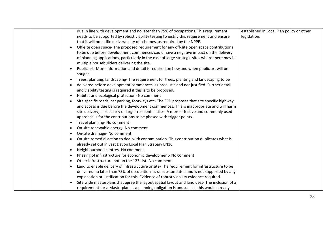| due in line with development and no later than 75% of occupations. This requirement                                                                     | established in Local Plan policy or other |
|---------------------------------------------------------------------------------------------------------------------------------------------------------|-------------------------------------------|
| needs to be supported by robust viability testing to justify this requirement and ensure                                                                | legislation.                              |
| that it will not stifle deliverability of schemes, as required by the NPPF.                                                                             |                                           |
| Off-site open space- The proposed requirement for any off-site open space contributions                                                                 |                                           |
| to be due before development commences could have a negative impact on the delivery                                                                     |                                           |
| of planning applications, particularly in the case of large strategic sites where there may be<br>multiple housebuilders delivering the site.           |                                           |
| Public art- More information and detail is required on how and when public art will be<br>sought.                                                       |                                           |
| Trees; planting; landscaping-The requirement for trees, planting and landscaping to be                                                                  |                                           |
| delivered before development commences is unrealistic and not justified. Further detail<br>and viability testing is required if this is to be proposed. |                                           |
| Habitat and ecological protection- No comment                                                                                                           |                                           |
| Site specific roads, car parking, footways etc-The SPD proposes that site specific highway                                                              |                                           |
| and access is due before the development commences. This is inappropriate and will harm                                                                 |                                           |
| site delivery, particularly of larger residential sites. A more effective and commonly used                                                             |                                           |
| approach is for the contributions to be phased with trigger points.                                                                                     |                                           |
| Travel planning- No comment<br>$\bullet$                                                                                                                |                                           |
| On-site renewable energy- No comment<br>$\bullet$                                                                                                       |                                           |
| On-site drainage- No comment                                                                                                                            |                                           |
| On-site remedial action to deal with contamination-This contribution duplicates what is                                                                 |                                           |
| already set out in East Devon Local Plan Strategy EN16                                                                                                  |                                           |
| Neighbourhood centres- No comment<br>$\bullet$                                                                                                          |                                           |
| Phasing of infrastructure for economic development- No comment<br>$\bullet$                                                                             |                                           |
| Other infrastructure not on the 123 List-No comment                                                                                                     |                                           |
| Land to enable delivery of infrastructure onsite- The requirement for infrastructure to be                                                              |                                           |
| delivered no later than 75% of occupations is unsubstantiated and is not supported by any                                                               |                                           |
| explanation or justification for this. Evidence of robust viability evidence required.                                                                  |                                           |
| Site wide masterplans that agree the layout spatial layout and land uses- The inclusion of a                                                            |                                           |
| requirement for a Masterplan as a planning obligation is unusual, as this would already                                                                 |                                           |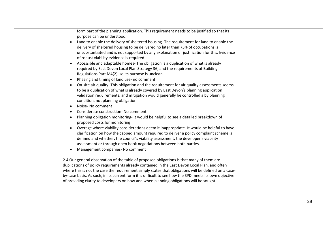|  | form part of the planning application. This requirement needs to be justified so that its              |  |
|--|--------------------------------------------------------------------------------------------------------|--|
|  | purpose can be understood.                                                                             |  |
|  | Land to enable the delivery of sheltered housing-The requirement for land to enable the                |  |
|  | delivery of sheltered housing to be delivered no later than 75% of occupations is                      |  |
|  | unsubstantiated and is not supported by any explanation or justification for this. Evidence            |  |
|  | of robust viability evidence is required.                                                              |  |
|  | Accessible and adaptable homes- The obligation is a duplication of what is already                     |  |
|  | required by East Devon Local Plan Strategy 36, and the requirements of Building                        |  |
|  | Regulations Part M4(2), so its purpose is unclear.                                                     |  |
|  | Phasing and timing of land use- no comment                                                             |  |
|  | On-site air quality-This obligation and the requirement for air quality assessments seems              |  |
|  | to be a duplication of what is already covered by East Devon's planning application                    |  |
|  | validation requirements, and mitigation would generally be controlled a by planning                    |  |
|  | condition, not planning obligation.                                                                    |  |
|  | Noise- No comment                                                                                      |  |
|  | Considerate construction- No comment                                                                   |  |
|  | Planning obligation monitoring- It would be helpful to see a detailed breakdown of                     |  |
|  | proposed costs for monitoring                                                                          |  |
|  | Overage where viability considerations deem it inappropriate- It would be helpful to have              |  |
|  | clarification on how the capped amount required to deliver a policy complaint scheme is                |  |
|  | defined and whether, the council's viability assessment, the developer's viability                     |  |
|  | assessment or through open book negotiations between both parties.                                     |  |
|  | Management companies- No comment                                                                       |  |
|  |                                                                                                        |  |
|  | 2.4 Our general observation of the table of proposed obligations is that many of them are              |  |
|  | duplications of policy requirements already contained in the East Devon Local Plan, and often          |  |
|  | where this is not the case the requirement simply states that obligations will be defined on a case-   |  |
|  | by-case basis. As such, in its current form it is difficult to see how the SPD meets its own objective |  |
|  | of providing clarity to developers on how and when planning obligations will be sought.                |  |
|  |                                                                                                        |  |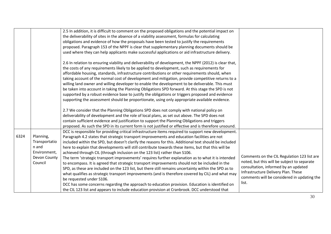|      |               | 2.5 In addition, it is difficult to comment on the proposed obligations and the potential impact on     |                                             |
|------|---------------|---------------------------------------------------------------------------------------------------------|---------------------------------------------|
|      |               | the deliverability of sites in the absence of a viability assessment, formulas for calculating          |                                             |
|      |               | obligations and evidence of how the proposals have been tested to justify the requirements              |                                             |
|      |               | proposed. Paragraph 153 of the NPPF is clear that supplementary planning documents should be            |                                             |
|      |               | used where they can help applicants make successful applications or aid infrastructure delivery.        |                                             |
|      |               | 2.6 In relation to ensuring viability and deliverability of development, the NPPF (2012) is clear that, |                                             |
|      |               | the costs of any requirements likely to be applied to development, such as requirements for             |                                             |
|      |               | affordable housing, standards, infrastructure contributions or other requirements should, when          |                                             |
|      |               | taking account of the normal cost of development and mitigation, provide competitive returns to a       |                                             |
|      |               | willing land owner and willing developer to enable the development to be deliverable. This must         |                                             |
|      |               | be taken into account in taking the Planning Obligations SPD forward. At this stage the SPD is not      |                                             |
|      |               | supported by a robust evidence base to justify the obligations or triggers proposed and evidence        |                                             |
|      |               | supporting the assessment should be proportionate, using only appropriate available evidence.           |                                             |
|      |               | 2.7 We consider that the Planning Obligations SPD does not comply with national policy on               |                                             |
|      |               | deliverability of development and the role of local plans, as set out above. The SPD does not           |                                             |
|      |               | contain sufficient evidence and justification to support the Planning Obligations and triggers          |                                             |
|      |               | proposed. As such the SPD in its current form is not justified or effective and is therefore unsound.   |                                             |
|      |               | DCC is responsible for providing critical infrastructure items required to support new development.     |                                             |
| 6324 | Planning,     | Paragraph 4.2 states that strategic transport improvements and education facilities are not             |                                             |
|      | Transportatio | included within the SPD, but doesn't clarify the reasons for this. Additional text should be included   |                                             |
|      | n and         | here to explain that developments will still contribute towards these items, but that this will be      |                                             |
|      | Environment,  | achieved through CIL (through inclusion on the 123 list) rather than S106.                              |                                             |
|      | Devon County  | The term 'strategic transport improvements' requires further explanation as to what it is intended      | Comments on the CIL Regulation 123 list are |
|      | Council       | to encompass. It is agreed that strategic transport improvements should not be included in the          | noted, but this will be subject to separate |
|      |               | SPD, as these are included on the 123 list, but there still remains uncertainty within the SPD as to    | consultation, informed by an updated        |
|      |               | what qualifies as strategic transport improvements (and is therefore covered by CIL) and what may       | Infrastructure Delivery Plan. These         |
|      |               | be requested under S106.                                                                                | comments will be considered in updating the |
|      |               | DCC has some concerns regarding the approach to education provision. Education is identified on         | list.                                       |
|      |               | the CIL 123 list and appears to include education provision at Cranbrook. DCC understood that           |                                             |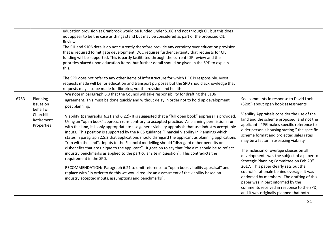|      |            | education provision at Cranbrook would be funded under S106 and not through CIL but this does                                                                                                           |                                                      |
|------|------------|---------------------------------------------------------------------------------------------------------------------------------------------------------------------------------------------------------|------------------------------------------------------|
|      |            | not appear to be the case as things stand but may be considered as part of the proposed CIL                                                                                                             |                                                      |
|      |            | Review.                                                                                                                                                                                                 |                                                      |
|      |            | The CIL and S106 details do not currently therefore provide any certainty over education provision                                                                                                      |                                                      |
|      |            | that is required to mitigate development. DCC requires further certainty that requests for CIL                                                                                                          |                                                      |
|      |            | funding will be supported. This is partly facilitated through the current IDP review and the                                                                                                            |                                                      |
|      |            | priorities placed upon education items, but further detail should be given in the SPD to explain                                                                                                        |                                                      |
|      |            | this.                                                                                                                                                                                                   |                                                      |
|      |            | The SPD does not refer to any other items of infrastructure for which DCC is responsible. Most                                                                                                          |                                                      |
|      |            | requests made will be for education and transport purposes but the SPD should acknowledge that                                                                                                          |                                                      |
|      |            | requests may also be made for libraries, youth provision and health.                                                                                                                                    |                                                      |
|      |            | We note in paragraph 6.8 that the Council will take responsibility for drafting the S106                                                                                                                |                                                      |
| 6753 | Planning   |                                                                                                                                                                                                         | See comments in response to David Lock               |
|      | Issues on  | agreement. This must be done quickly and without delay in order not to hold up development                                                                                                              | (3209) about open book assessments                   |
|      | behalf of  | post planning.                                                                                                                                                                                          |                                                      |
|      | Churchill  |                                                                                                                                                                                                         | Viability Appraisals consider the use of the         |
|      | Retirement | Viability (paragraphs 6.21 and 6.22)- It is suggested that a "full open book" appraisal is provided.                                                                                                    | land and the scheme proposed, and not the            |
|      | Properties | Using an "open book" approach runs contrary to accepted practice. As planning permissions run<br>with the land, it is only appropriate to use generic viability appraisals that use industry acceptable | applicant. PPG makes specific reference to           |
|      |            | inputs. This position is supported by the RICS guidance (Financial Viability in Planning) which                                                                                                         | older person's housing stating "the specific         |
|      |            | states in paragraph 2.5.2 that applications should disregard the applicant as planning applications                                                                                                     | scheme format and projected sales rates              |
|      |            | "run with the land". Inputs to the Financial modelling should "disregard either benefits or                                                                                                             | may be a factor in assessing viability".             |
|      |            | disbenefits that are unique to the applicant". It goes on to say that "the aim should be to reflect                                                                                                     |                                                      |
|      |            | industry benchmarks as applied to the particular site in question". This contradicts the                                                                                                                | The inclusion of overage clauses on all              |
|      |            | requirement in the SPD.                                                                                                                                                                                 | developments was the subject of a paper to           |
|      |            |                                                                                                                                                                                                         | Strategic Planning Committee on Feb 20 <sup>th</sup> |
|      |            | RECOMMENDATION: Paragraph 6.21 to omit reference to "open book viability appraisal" and                                                                                                                 | 2017. This paper clearly sets out the                |
|      |            | replace with "In order to do this we would require an assessment of the viability based on                                                                                                              | council's rationale behind overage. It was           |
|      |            | industry accepted inputs, assumptions and benchmarks".                                                                                                                                                  | endorsed by members. The drafting of this            |
|      |            |                                                                                                                                                                                                         | paper was in part informed by the                    |
|      |            |                                                                                                                                                                                                         | comments received in response to the SPD,            |
|      |            |                                                                                                                                                                                                         | and it was originally planned that both              |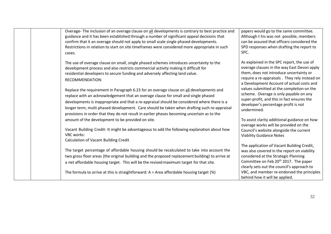| Overage-The inclusion of an overage clause on all developments is contrary to best practice and<br>guidance and it has been established through a number of significant appeal decisions that<br>confirm that it an overage should not apply to small scale single phased developments.<br>Restrictions in relation to start on site timeframes were considered more appropriate in such<br>cases.                                                                        | papers would go to the same committee.<br>Although t his was not possible, members<br>can be assured that officers considered the<br>SPD responses when drafting the report to<br>SPC.                                                                                                                               |
|---------------------------------------------------------------------------------------------------------------------------------------------------------------------------------------------------------------------------------------------------------------------------------------------------------------------------------------------------------------------------------------------------------------------------------------------------------------------------|----------------------------------------------------------------------------------------------------------------------------------------------------------------------------------------------------------------------------------------------------------------------------------------------------------------------|
| The use of overage clause on small, single phased schemes introduces uncertainty to the<br>development process and also restricts commercial activity making it difficult for<br>residential developers to secure funding and adversely affecting land value.<br>RECOMMENDATION:                                                                                                                                                                                          | As explained in the SPC report, the use of<br>overage clauses in the way East Devon apply<br>them, does not introduce uncertainty or<br>require a re-appraisals. They rely instead on<br>a Development Account of actual costs and                                                                                   |
| Replace the requirement in Paragraph 6.23 for an overage clause on all developments and<br>replace with an acknowledgement that an overage clause for small and single phased<br>developments is inappropriate and that a re-appraisal should be considered where there is a<br>longer term, multi phased development. Care should be taken when drafting such re-appraisal<br>provisions in order that they do not result in earlier phases becoming uncertain as to the | values submitted at the completion on the<br>scheme. Overage is only payable on any<br>super-profit, and this in fact ensures the<br>developer's percentage profit is not<br>undermined.                                                                                                                             |
| amount of the development to be provided on site.<br>Vacant Building Credit- It might be advantageous to add the following explanation about how<br><b>VBC</b> works:<br>Calculation of Vacant Building Credit                                                                                                                                                                                                                                                            | To assist clarity additional guidance on how<br>overage works will be provided on the<br>Council's website alongside the current<br><b>Viability Guidance Notes</b>                                                                                                                                                  |
| The target percentage of affordable housing should be recalculated to take into account the<br>two gross floor areas (the original building and the proposed replacement building) to arrive at<br>a net affordable housing target. This will be the revised maximum target for that site.<br>The formula to arrive at this is straightforward: $A = Area$ affordable housing target (%)                                                                                  | The application of Vacant Building Credit,<br>was also covered in the report on viability<br>considered at the Strategic Planning<br>Committee on Feb 20 <sup>th</sup> 2017. The paper<br>clearly sets out the council's approach to<br>VBC, and member re-endorsed the principles<br>behind how it will be applied. |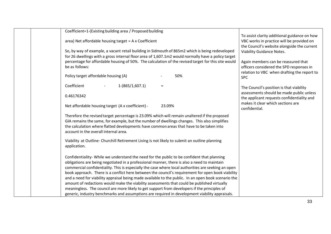| Coefficient=1-(Existing building area / Proposed building                                                                                                                                                                                                                                                                                                                                                                                                                                                                                                                                                                                                                                                                                                                                                     |                                                                                                                                          |
|---------------------------------------------------------------------------------------------------------------------------------------------------------------------------------------------------------------------------------------------------------------------------------------------------------------------------------------------------------------------------------------------------------------------------------------------------------------------------------------------------------------------------------------------------------------------------------------------------------------------------------------------------------------------------------------------------------------------------------------------------------------------------------------------------------------|------------------------------------------------------------------------------------------------------------------------------------------|
| area) Net affordable housing target $= A \times Coefficient$                                                                                                                                                                                                                                                                                                                                                                                                                                                                                                                                                                                                                                                                                                                                                  | To assist clarity additional guidance on how<br>VBC works in practice will be provided on<br>the Council's website alongside the current |
| So, by way of example, a vacant retail building in Sidmouth of 865m2 which is being redeveloped                                                                                                                                                                                                                                                                                                                                                                                                                                                                                                                                                                                                                                                                                                               | Viability Guidance Notes.                                                                                                                |
| for 26 dwellings with a gross internal floor area of 1,607.1m2 would normally have a policy target                                                                                                                                                                                                                                                                                                                                                                                                                                                                                                                                                                                                                                                                                                            |                                                                                                                                          |
| percentage for affordable housing of 50%. The calculation of the revised target for this site would<br>be as follows:                                                                                                                                                                                                                                                                                                                                                                                                                                                                                                                                                                                                                                                                                         | Again members can be reassured that<br>officers considered the SPD responses in                                                          |
|                                                                                                                                                                                                                                                                                                                                                                                                                                                                                                                                                                                                                                                                                                                                                                                                               | relation to VBC when drafting the report to                                                                                              |
| Policy target affordable housing (A)<br>50%                                                                                                                                                                                                                                                                                                                                                                                                                                                                                                                                                                                                                                                                                                                                                                   | <b>SPC</b>                                                                                                                               |
| Coefficient<br>$1-(865/1,607.1)$<br>$\overline{\phantom{a}}$<br>$=$                                                                                                                                                                                                                                                                                                                                                                                                                                                                                                                                                                                                                                                                                                                                           | The Council's position is that viability                                                                                                 |
| 0.46176342                                                                                                                                                                                                                                                                                                                                                                                                                                                                                                                                                                                                                                                                                                                                                                                                    | assessments should be made public unless<br>the applicant requests confidentiality and                                                   |
| Net affordable housing target (A x coefficient) -<br>23.09%                                                                                                                                                                                                                                                                                                                                                                                                                                                                                                                                                                                                                                                                                                                                                   | makes it clear which sections are<br>confidential.                                                                                       |
| Therefore the revised target percentage is 23.09% which will remain unaltered if the proposed<br>GIA remains the same, for example, but the number of dwellings changes. This also simplifies<br>the calculation where flatted developments have common areas that have to be taken into<br>account in the overall internal area.                                                                                                                                                                                                                                                                                                                                                                                                                                                                             |                                                                                                                                          |
| Viability at Outline-Churchill Retirement Living is not likely to submit an outline planning<br>application.                                                                                                                                                                                                                                                                                                                                                                                                                                                                                                                                                                                                                                                                                                  |                                                                                                                                          |
| Confidentiality- While we understand the need for the public to be confident that planning<br>obligations are being negotiated in a professional manner, there is also a need to maintain<br>commercial confidentiality. This is especially the case where local authorities are seeking an open<br>book approach. There is a conflict here between the council's requirement for open book viability<br>and a need for viability appraisal being made available to the public. In an open book scenario the<br>amount of redactions would make the viability assessments that could be published virtually<br>meaningless. The council are more likely to get support from developers if the principles of<br>generic, industry benchmarks and assumptions are required in development viability appraisals. |                                                                                                                                          |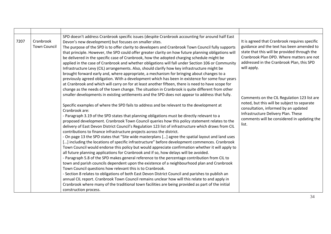| 7207 | Cranbrook<br><b>Town Council</b> | SPD doesn't address Cranbrook specific issues (despite Cranbrook accounting for around half East<br>Devon's new development) but focuses on smaller sites.<br>The purpose of the SPD is to offer clarity to developers and Cranbrook Town Council fully supports<br>that principle. However, the SPD could offer greater clarity on how future planning obligations will<br>be delivered in the specific case of Cranbrook, how the adopted charging schedule might be<br>applied in the case of Cranbrook and whether obligations will fall under Section 106 or Community<br>Infrastructure Levy (CIL) arrangements. Also, should clarify how key infrastructure might be<br>brought forward early and, where appropriate, a mechanism for bringing about changes to a<br>previously agreed obligation. With a development which has been in existence for some four years<br>at Cranbrook and which will carry on for at least another fifteen, there is need to have scope for<br>change as the needs of the town change. The situation in Cranbrook is quite different from other<br>smaller developments in existing settlements and the SPD does not appear to address that fully.                                                                                                                                                                                                                                                                                                           | It is agreed that Cranbrook requires specific<br>guidance and the text has been amended to<br>state that this will be provided through the<br>Cranbrook Plan DPD. Where matters are not<br>addressed in the Cranbrook Plan, this SPD<br>will apply.<br>Comments on the CIL Regulation 123 list are<br>noted, but this will be subject to separate<br>consultation, informed by an updated<br>Infrastructure Delivery Plan. These<br>comments will be considered in updating the<br>list. |
|------|----------------------------------|-----------------------------------------------------------------------------------------------------------------------------------------------------------------------------------------------------------------------------------------------------------------------------------------------------------------------------------------------------------------------------------------------------------------------------------------------------------------------------------------------------------------------------------------------------------------------------------------------------------------------------------------------------------------------------------------------------------------------------------------------------------------------------------------------------------------------------------------------------------------------------------------------------------------------------------------------------------------------------------------------------------------------------------------------------------------------------------------------------------------------------------------------------------------------------------------------------------------------------------------------------------------------------------------------------------------------------------------------------------------------------------------------------------------------------------------------------------------------------------------------------|------------------------------------------------------------------------------------------------------------------------------------------------------------------------------------------------------------------------------------------------------------------------------------------------------------------------------------------------------------------------------------------------------------------------------------------------------------------------------------------|
|      |                                  | Specific examples of where the SPD fails to address and be relevant to the development at<br>Cranbrook are:<br>- Paragraph 3.19 of the SPD states that planning obligations must be directly relevant to a<br>proposed development. Cranbrook Town Council queries how this policy statement relates to the<br>delivery of East Devon District Council's Regulation 123 list of infrastructure which draws from CIL<br>contributions to finance infrastructure projects across the district.<br>- On page 13 the SPD states that "Site wide masterplans [] agree the spatial layout and land uses<br>[] including the locations of specific infrastructure" before development commences. Cranbrook<br>Town Council would endorse this policy but would appreciate confirmation whether it will apply to<br>all future planning applications for Cranbrook and if so, how delays will be avoided.<br>- Paragraph 5.8 of the SPD makes general reference to the percentage contribution from CIL to<br>town and parish councils dependent upon the existence of a neighbourhood plan and Cranbrook<br>Town Council questions how relevant this is to Cranbrook.<br>- Section 8 relates to obligations of both East Devon District Council and parishes to publish an<br>annual CIL report. Cranbrook Town Council remains unclear how will this relate to and apply in<br>Cranbrook where many of the traditional town facilities are being provided as part of the initial<br>construction process. |                                                                                                                                                                                                                                                                                                                                                                                                                                                                                          |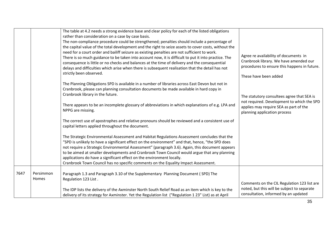|      |                    | The table at 4.2 needs a strong evidence base and clear policy for each of the listed obligations<br>rather than consideration on a case by case basis.<br>The non-compliance procedure could be strengthened; penalties should include a percentage of<br>the capital value of the total development and the right to seize assets to cover costs, without the<br>need for a court order and bailiff seizure as existing penalties are not sufficient to work.<br>There is so much guidance to be taken into account now, it is difficult to put it into practice. The<br>consequence is little or no checks and balances at the time of delivery and the consequential<br>delays and difficulties which arise when there is subsequent realisation that the detail has not<br>strictly been observed. | Agree re availability of documents in<br>Cranbrook library. We have amended our<br>procedures to ensure this happens in future.<br>These have been added           |
|------|--------------------|---------------------------------------------------------------------------------------------------------------------------------------------------------------------------------------------------------------------------------------------------------------------------------------------------------------------------------------------------------------------------------------------------------------------------------------------------------------------------------------------------------------------------------------------------------------------------------------------------------------------------------------------------------------------------------------------------------------------------------------------------------------------------------------------------------|--------------------------------------------------------------------------------------------------------------------------------------------------------------------|
|      |                    | The Planning Obligations SPD is available in a number of libraries across East Devon but not in<br>Cranbrook, please can planning consultation documents be made available in hard copy in<br>Cranbrook library in the future.<br>There appears to be an incomplete glossary of abbreviations in which explanations of e.g. LPA and<br>NPPG are missing.                                                                                                                                                                                                                                                                                                                                                                                                                                                | The statutory consultees agree that SEA is<br>not required. Development to which the SPD<br>applies may require SEA as part of the<br>planning application process |
|      |                    | The correct use of apostrophes and relative pronouns should be reviewed and a consistent use of<br>capital letters applied throughout the document.<br>The Strategic Environmental Assessment and Habitat Regulations Assessment concludes that the<br>"SPD is unlikely to have a significant effect on the environment" and that, hence, "the SPD does<br>not require a Strategic Environmental Assessment" (paragraph 3.6). Again, this document appears<br>to be aimed at smaller developments and Cranbrook Town Council would argue that any planning<br>applications do have a significant effect on the environment locally.<br>Cranbrook Town Council has no specific comments on the Equality Impact Assessment.                                                                               |                                                                                                                                                                    |
| 7647 | Persimmon<br>Homes | Paragraph 1.3 and Paragraph 3.10 of the Supplementary Planning Document (SPD) The<br>Regulation 123 List.<br>The IDP lists the delivery of the Axminster North South Relief Road as an item which is key to the<br>delivery of its strategy for Axminster. Yet the Regulation list ("Regulation 1 23" List) as at April                                                                                                                                                                                                                                                                                                                                                                                                                                                                                 | Comments on the CIL Regulation 123 list are<br>noted, but this will be subject to separate<br>consultation, informed by an updated                                 |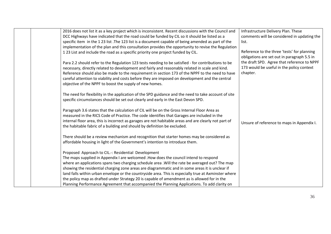| 2016 does not list it as a key project which is inconsistent. Recent discussions with the Council and<br>DCC Highways have indicated that the road could be funded by CIL so it should be listed as a<br>specific item in the 123 list .The 123 list is a document capable of being amended as part of the<br>implementation of the plan and this consultation provides the opportunity to revise the Regulation<br>123 List and include the road as a specific priority one project funded by CIL.<br>Para 2.2 should refer to the Regulation 123 tests needing to be satisfied - for contributions to be<br>necessary, directly related to development and fairly and reasonably related in scale and kind.<br>Reference should also be made to the requirement in section 173 of the NPPF to the need to have<br>careful attention to viability and costs before they are imposed on development and the central | Infrastructure Delivery Plan. These<br>comments will be considered in updating the<br>list.<br>Reference to the three 'tests' for planning<br>obligations are set out in paragraph 5.5 in<br>the draft SPD. Agree that reference to NPPF<br>173 would be useful in the policy context<br>chapter. |
|---------------------------------------------------------------------------------------------------------------------------------------------------------------------------------------------------------------------------------------------------------------------------------------------------------------------------------------------------------------------------------------------------------------------------------------------------------------------------------------------------------------------------------------------------------------------------------------------------------------------------------------------------------------------------------------------------------------------------------------------------------------------------------------------------------------------------------------------------------------------------------------------------------------------|---------------------------------------------------------------------------------------------------------------------------------------------------------------------------------------------------------------------------------------------------------------------------------------------------|
| objective of the NPPF to boost the supply of new homes.<br>The need for flexibility in the application of the SPD guidance and the need to take account of site<br>specific circumstances should be set out clearly and early in the East Devon SPD.<br>Paragraph 3.6 states that the calculation of CIL will be on the Gross Internal Floor Area as<br>measured in the RICS Code of Practice. The code identifies that Garages are included in the<br>internal floor area, this is incorrect as garages are not habitable areas and are clearly not part of<br>the habitable fabric of a building and should by definition be excluded.<br>There should be a review mechanism and recognition that starter homes may be considered as                                                                                                                                                                              | Unsure of reference to maps in Appendix I.                                                                                                                                                                                                                                                        |
| affordable housing in light of the Government's intention to introduce them.<br>Proposed Approach to CIL .-: Residential Development<br>The maps supplied in Appendix I are welcomed . How does the council intend to respond<br>where an applications spans two charging schedule area . Will the rate be averaged out? The map<br>showing the residential charging zone areas are diagrammatic and in some areas it is unclear if<br>land falls within urban envelope or the countryside area. This is especially true at Axminster where<br>the policy map as drafted under Strategy 20 is capable of amendment as is allowed for in the<br>Planning Performance Agreement that accompanied the Planning Applications. To add clarity on                                                                                                                                                                         |                                                                                                                                                                                                                                                                                                   |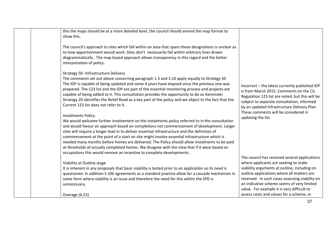| this the maps should be at a more detailed level, the council should amend the map format to<br>show this.                                                                                                                                                                                                                                                                                                                                                                                                                                                                                                                                                                                    |                                                                                                                                                                                                                                                                                                                                   |
|-----------------------------------------------------------------------------------------------------------------------------------------------------------------------------------------------------------------------------------------------------------------------------------------------------------------------------------------------------------------------------------------------------------------------------------------------------------------------------------------------------------------------------------------------------------------------------------------------------------------------------------------------------------------------------------------------|-----------------------------------------------------------------------------------------------------------------------------------------------------------------------------------------------------------------------------------------------------------------------------------------------------------------------------------|
| The council's approach to sites which fall within an area that spans these designations is unclear as<br>to how apportionment would work . Sites don't necessarily fall within arbitrary lines drawn<br>diagrammatically. The map based approach allows transparency in this regard and the better<br>interpretation of policy.                                                                                                                                                                                                                                                                                                                                                               |                                                                                                                                                                                                                                                                                                                                   |
| Strategy 50 - Infrastructure Delivery.<br>The comments set out above concerning paragraph 1.3 and 3.10 apply equally to Strategy 50<br>The IDP is capable of being updated and some 4 years have elapsed since the previous one was<br>prepared. The 123 list and the IDP are part of the essential monitoring process and projects are<br>capable of being added to it. This consultation provides the opportunity to do so Axminster<br>Strategy 20 identifies the Relief Road as a key part of the policy and we object to the fact that the<br>Current 123 list does not refer to it.                                                                                                     | Incorrect - the latest currently published IDP<br>is from March 2015. Comments on the CIL<br>Regulation 123 list are noted, but this will be<br>subject to separate consultation, informed<br>by an updated Infrastructure Delivery Plan.                                                                                         |
| Instalments Policy.<br>We would welcome further involvement on the instalments policy referred to in the consultation<br>and would favour an approach based on completions not commencement of development. Larger<br>sites will require a longer lead in to deliver essential infrastructure and the definition of<br>commencement at the point of a start on site might involve essential infrastructure which is<br>needed many months before homes are delivered. The Policy should allow instalments to be paid<br>at thresholds of actually completed homes. We disagree with the view that if it were based on<br>occupations this would remove an incentive to complete developments. | These comments will be considered in<br>updating the list.                                                                                                                                                                                                                                                                        |
| Viability at Outline stage<br>It is inherent in any proposals that basic viability is tested prior to an application so its need is<br>questioned. In addition S 106 agreements as a standard practice allow for a cascade mechanism in<br>some form where viability is an issue and therefore the need for this within the SPD is<br>unnecessary.                                                                                                                                                                                                                                                                                                                                            | The council has received several applications<br>where applicants are seeking to make<br>viability arguments at outline, including on<br>outline applications where all matters are<br>reserved. In such cases assessing viability on<br>an indicative scheme seems of very limited<br>value. For example it is very difficult to |
| Overage (6.23)                                                                                                                                                                                                                                                                                                                                                                                                                                                                                                                                                                                                                                                                                | assess costs and values for a scheme, or                                                                                                                                                                                                                                                                                          |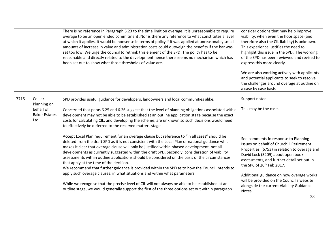|      |                                                                    | There is no reference in Paragraph 6.23 to the time limit on overage. It is unreasonable to require<br>overage to be an open ended commitment .Nor is there any reference to what constitutes a level<br>at which it applies. It would be nonsense in terms of policy if it was applied at unreasonably small<br>amounts of increase in value and administration costs could outweigh the benefits if the bar was<br>set too low. We urge the council to rethink this element of the SPD .The policy has to be<br>reasonable and directly related to the development hence there seems no mechanism which has<br>been set out to show what those thresholds of value are.                                                                                                                                                                                                                                                                  | consider options that may help improve<br>viability, when even the floor space (and<br>therefore also the CIL liability) is unknown.<br>This experience justifies the need to<br>highlight this issue in the SPD. The wording<br>of the SPD has been reviewed and revised to<br>express this more clearly.<br>We are also working actively with applicants<br>and potential applicants to seek to resolve<br>the challenges around overage at outline on<br>a case by case basis |
|------|--------------------------------------------------------------------|--------------------------------------------------------------------------------------------------------------------------------------------------------------------------------------------------------------------------------------------------------------------------------------------------------------------------------------------------------------------------------------------------------------------------------------------------------------------------------------------------------------------------------------------------------------------------------------------------------------------------------------------------------------------------------------------------------------------------------------------------------------------------------------------------------------------------------------------------------------------------------------------------------------------------------------------|----------------------------------------------------------------------------------------------------------------------------------------------------------------------------------------------------------------------------------------------------------------------------------------------------------------------------------------------------------------------------------------------------------------------------------------------------------------------------------|
| 7715 | Collier<br>Planning on<br>behalf of<br><b>Baker Estates</b><br>Ltd | SPD provides useful guidance for developers, landowners and local communities alike.<br>Concerned that paras 6.25 and 6.26 suggest that the level of planning obligations associated with a<br>development may not be able to be established at an outline application stage because the exact<br>costs for calculating CIL, and developing the scheme, are unknown so such decisions would need<br>to effectively be deferred to the reserved matters stage.                                                                                                                                                                                                                                                                                                                                                                                                                                                                              | Support noted<br>This may be the case.                                                                                                                                                                                                                                                                                                                                                                                                                                           |
|      |                                                                    | Accept Local Plan requirement for an overage clause but reference to "in all cases" should be<br>deleted from the draft SPD as it is not consistent with the Local Plan or national guidance which<br>makes it clear that overage clause will only be justified within phased development, not all<br>developments as currently suggested within the draft SPD. Secondly, consideration of viability<br>assessments within outline applications should be considered on the basis of the circumstances<br>that apply at the time of the decision.<br>We recommend that further guidance is provided within the SPD as to how the Council intends to<br>apply such overage clauses, in what situations and within what parameters.<br>While we recognise that the precise level of CIL will not always be able to be established at an<br>outline stage, we would generally support the first of the three options set out within paragraph | See comments in response to Planning<br>Issues on behalf of Churchill Retirement<br>Properties (6753) in relation to overage and<br>David Lock (3209) about open book<br>assessments, and further detail set out in<br>the SPC of 20 <sup>th</sup> Feb 2017.<br>Additional guidance on how overage works<br>will be provided on the Council's website<br>alongside the current Viability Guidance<br>Notes                                                                       |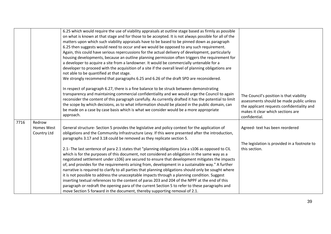|      |                                     | 6.25 which would require the use of viability appraisals at outline stage based as firmly as possible<br>on what is known at that stage and for those to be accepted. It is not always possible for all of the<br>matters upon which such viability appraisals have to be based to be pinned down as paragraph<br>6.25 then suggests would need to occur and we would be opposed to any such requirement.<br>Again, this could have serious repercussions for the actual delivery of development, particularly<br>housing developments, because an outline planning permission often triggers the requirement for<br>a developer to acquire a site from a landowner. It would be commercially untenable for a<br>developer to proceed with the acquisition of a site if the overall level of planning obligations are<br>not able to be quantified at that stage.<br>We strongly recommend that paragraphs 6.25 and 6.26 of the draft SPD are reconsidered.                                                                                                                                                                                                                              |                                                                                                                                                                                          |
|------|-------------------------------------|------------------------------------------------------------------------------------------------------------------------------------------------------------------------------------------------------------------------------------------------------------------------------------------------------------------------------------------------------------------------------------------------------------------------------------------------------------------------------------------------------------------------------------------------------------------------------------------------------------------------------------------------------------------------------------------------------------------------------------------------------------------------------------------------------------------------------------------------------------------------------------------------------------------------------------------------------------------------------------------------------------------------------------------------------------------------------------------------------------------------------------------------------------------------------------------|------------------------------------------------------------------------------------------------------------------------------------------------------------------------------------------|
|      |                                     | In respect of paragraph 6.27, there is a fine balance to be struck between demonstrating<br>transparency and maintaining commercial confidentiality and we would urge the Council to again<br>reconsider the content of this paragraph carefully. As currently drafted it has the potential to limit<br>the scope by which decisions, as to what information should be placed in the public domain, can<br>be made on a case by case basis which is what we consider would be a more appropriate<br>approach.                                                                                                                                                                                                                                                                                                                                                                                                                                                                                                                                                                                                                                                                            | The Council's position is that viability<br>assessments should be made public unless<br>the applicant requests confidentiality and<br>makes it clear which sections are<br>confidential. |
| 7716 | Redrow<br>Homes West<br>Country Ltd | General structure- Section 5 provides the legislative and policy context for the application of<br>obligations and the Community Infrastructure Levy. If this were presented after the introduction,<br>paragraphs 3.17 and 3.18 could be removed as they replicate section 5.<br>2.1- The last sentence of para 2.1 states that "planning obligations (via a s106 as opposed to CIL<br>which is for the purposes of this document, not considered an obligation in the same way as a<br>negotiated settlement under s106} are secured to ensure that development mitigates the impacts<br>of, and provides for the requirements arising from, development in a sustainable way." A further<br>narrative is required to clarify to all parties that planning obligations should only be sought where<br>it is not possible to address the unacceptable impacts through a planning condition. Suggest<br>inserting textual references to the content of paras 203 and 204 of the NPPF at the end of this<br>paragraph or redraft the opening para of the current Section 5 to refer to these paragraphs and<br>move Section 5 forward in the document, thereby supporting removal of 2.1. | Agreed-text has been reordered<br>The legislation is provided in a footnote to<br>this section.                                                                                          |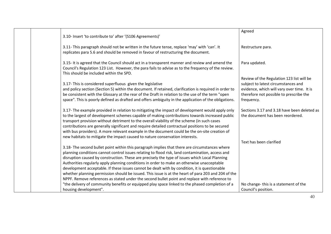|                                                                                                                                                | Agreed                                      |
|------------------------------------------------------------------------------------------------------------------------------------------------|---------------------------------------------|
| 3.10- Insert 'to contribute to' after '(S106 Agreements)'                                                                                      |                                             |
|                                                                                                                                                |                                             |
| 3.11- This paragraph should not be written in the future tense, replace 'may' with 'can'. It                                                   | Restructure para.                           |
| replicates para 5.6 and should be removed in favour of restructuring the document.                                                             |                                             |
|                                                                                                                                                |                                             |
| 3.15- It is agreed that the Council should act in a transparent manner and review and amend the                                                | Para updated.                               |
| Council's Regulation 123 List. However, the para fails to advise as to the frequency of the review.<br>This should be included within the SPD. |                                             |
|                                                                                                                                                | Review of the Regulation 123 list will be   |
| 3.17- This is considered superfluous given the legislative                                                                                     | subject to latest circumstances and         |
| and policy section (Section 5) within the document. If retained, clarification is required in order to                                         | evidence, which will vary over time. It is  |
| be consistent with the Glossary at the rear of the Draft in relation to the use of the term "open"                                             | therefore not possible to prescribe the     |
| space". This is poorly defined as drafted and offers ambiguity in the application of the obligations.                                          | frequency.                                  |
|                                                                                                                                                |                                             |
| 3.17- The example provided in relation to mitigating the impact of development would apply only                                                | Sections 3.17 and 3.18 have been deleted as |
| to the largest of development schemes capable of making contributions towards increased public                                                 | the document has been reordered.            |
| transport provision without detriment to the overall viability of the scheme (in such cases                                                    |                                             |
| contributions are generally significant and require detailed contractual positions to be secured                                               |                                             |
| with bus providers). A more relevant example in the document could be the on-site creation of                                                  |                                             |
| new habitats to mitigate the impact caused to nature conservation interests.                                                                   |                                             |
|                                                                                                                                                | Text has been clarified                     |
| 3.18- The second bullet point within this paragraph implies that there are circumstances where                                                 |                                             |
| planning conditions cannot control issues relating to flood risk, land contamination, access and                                               |                                             |
| disruption caused by construction. These are precisely the type of issues which Local Planning                                                 |                                             |
| Authorities regularly apply planning conditions in order to make an otherwise unacceptable                                                     |                                             |
| development acceptable. If these issues cannot be dealt with by condition, it is questionable                                                  |                                             |
| whether planning permission should be issued. This issue is at the heart of para 203 and 204 of the                                            |                                             |
| NPPF. Remove references as stated under the second bullet point and replace with reference to                                                  |                                             |
| "the delivery of community benefits or equipped play space linked to the phased completion of a                                                | No change-this is a statement of the        |
| housing development".                                                                                                                          | Council's position.                         |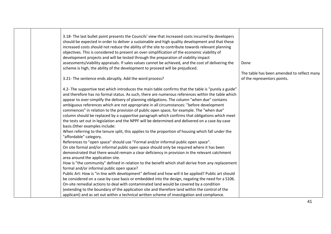| 3.18- The last bullet point presents the Councils' view that increased costs incurred by developers<br>should be expected in order to deliver a sustainable and high quality development and that these<br>increased costs should not reduce the ability of the site to contribute towards relevant planning<br>objectives. This is considered to present an over-simplification of the economic viability of<br>development projects and will be tested through the preparation of viability impact<br>assessments/viability appraisals. If sales values cannot be achieved, and the cost of delivering the<br>scheme is high, the ability of the development to proceed will be prejudiced.                                                                                                                                                                                                                                                                                                                                                                                                                                                                                                                                                                                                                                                                                                                                                                                                                                                                                                                                                                                                                                                                                                                                                                   | Done                                                                      |
|-----------------------------------------------------------------------------------------------------------------------------------------------------------------------------------------------------------------------------------------------------------------------------------------------------------------------------------------------------------------------------------------------------------------------------------------------------------------------------------------------------------------------------------------------------------------------------------------------------------------------------------------------------------------------------------------------------------------------------------------------------------------------------------------------------------------------------------------------------------------------------------------------------------------------------------------------------------------------------------------------------------------------------------------------------------------------------------------------------------------------------------------------------------------------------------------------------------------------------------------------------------------------------------------------------------------------------------------------------------------------------------------------------------------------------------------------------------------------------------------------------------------------------------------------------------------------------------------------------------------------------------------------------------------------------------------------------------------------------------------------------------------------------------------------------------------------------------------------------------------|---------------------------------------------------------------------------|
| 3.21- The sentence ends abruptly. Add the word process?                                                                                                                                                                                                                                                                                                                                                                                                                                                                                                                                                                                                                                                                                                                                                                                                                                                                                                                                                                                                                                                                                                                                                                                                                                                                                                                                                                                                                                                                                                                                                                                                                                                                                                                                                                                                         | The table has been amended to reflect many<br>of the representors points. |
| 4.2- The supportive text which introduces the main table confirms that the table is "purely a guide"<br>and therefore has no formal status. As such, there are numerous references within the table which<br>appear to over-simplify the delivery of planning obligations. The column "when due" contains<br>ambiguous references which are not appropriate in all circumstances: "before development<br>commences" in relation to the provision of public open space, for example. The "when due"<br>column should be replaced by a supportive paragraph which confirms that obligations which meet<br>the tests set out in legislation and the NPPF will be determined and delivered on a case-by-case<br>basis. Other examples include:<br>When referring to the tenure split, this applies to the proportion of housing which fall under the<br>"affordable" category.<br>References to "open space" should use "Formal and/or informal public open space".<br>On site formal and/or informal public open space should only be required where it has been<br>demonstrated that there would remain a clear deficiency in provision in the relevant catchment<br>area around the application site.<br>How is "the community" defined in relation to the benefit which shall derive from any replacement<br>formal and/or informal public open space?<br>Public Art: How is "in line with development" defined and how will it be applied? Public art should<br>be considered on a case-by-case basis or embedded into the design, negating the need for a S106.<br>On-site remedial actions to deal with contaminated land would be covered by a condition<br>(extending to the boundary of the application site and therefore land within the control of the<br>applicant) and as set out within a technical written scheme of investigation and compliance. |                                                                           |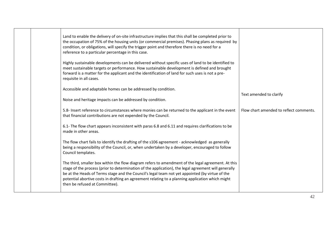|  | Land to enable the delivery of on-site infrastructure implies that this shall be completed prior to<br>the occupation of 75% of the housing units (or commercial premises). Phasing plans as required by<br>condition, or obligations, will specify the trigger point and therefore there is no need for a<br>reference to a particular percentage in this case.                                                                                    |                                         |
|--|-----------------------------------------------------------------------------------------------------------------------------------------------------------------------------------------------------------------------------------------------------------------------------------------------------------------------------------------------------------------------------------------------------------------------------------------------------|-----------------------------------------|
|  | Highly sustainable developments can be delivered without specific uses of land to be identified to<br>meet sustainable targets or performance. How sustainable development is defined and brought<br>forward is a matter for the applicant and the identification of land for such uses is not a pre-<br>requisite in all cases.                                                                                                                    |                                         |
|  | Accessible and adaptable homes can be addressed by condition.                                                                                                                                                                                                                                                                                                                                                                                       | Text amended to clarify                 |
|  | Noise and heritage impacts can be addressed by condition.                                                                                                                                                                                                                                                                                                                                                                                           |                                         |
|  | 5.8- Insert reference to circumstances where monies can be returned to the applicant in the event<br>that financial contributions are not expended by the Council.                                                                                                                                                                                                                                                                                  | Flow chart amended to reflect comments. |
|  | 6.1- The flow chart appears inconsistent with paras 6.8 and 6.11 and requires clarifications to be<br>made in other areas.                                                                                                                                                                                                                                                                                                                          |                                         |
|  | The flow chart fails to identify the drafting of the s106 agreement - acknowledged as generally<br>being a responsibility of the Council, or, when undertaken by a developer, encouraged to follow<br>Council templates.                                                                                                                                                                                                                            |                                         |
|  | The third, smaller box within the flow diagram refers to amendment of the legal agreement. At this<br>stage of the process (prior to determination of the application), the legal agreement will generally<br>be at the Heads of Terms stage and the Council's legal team not yet appointed (by virtue of the<br>potential abortive costs in drafting an agreement relating to a planning application which might<br>then be refused at Committee). |                                         |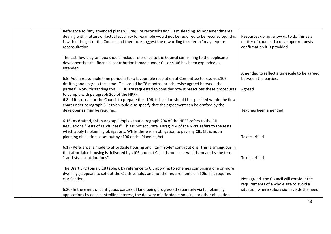| Reference to "any amended plans will require reconsultation" is misleading. Minor amendments<br>dealing with matters of factual accuracy for example would not be required to be reconsulted: this<br>is within the gift of the Council and therefore suggest the rewording to refer to "may require<br>reconsultation. | Resources do not allow us to do this as a<br>matter of course. If a developer requests<br>confirmation it is provided. |
|-------------------------------------------------------------------------------------------------------------------------------------------------------------------------------------------------------------------------------------------------------------------------------------------------------------------------|------------------------------------------------------------------------------------------------------------------------|
| The last flow diagram box should include reference to the Council confirming to the applicant/<br>developer that the financial contribution it made under CIL or s106 has been expended as<br>intended.                                                                                                                 |                                                                                                                        |
|                                                                                                                                                                                                                                                                                                                         | Amended to reflect a timescale to be agreed                                                                            |
| 6.5- Add a reasonable time period after a favourable resolution at Committee to resolve s106<br>drafting and engross the same. This could be "6 months, or otherwise agreed between the                                                                                                                                 | between the parties.                                                                                                   |
| parties". Notwithstanding this, EDDC are requested to consider how it prescribes these procedures<br>to comply with paragraph 205 of the NPPF.                                                                                                                                                                          | Agreed                                                                                                                 |
| 6.8- If it is usual for the Council to prepare the s106, this action should be specified within the flow<br>chart under paragraph 6.1: this would also specify that the agreement can be drafted by the                                                                                                                 |                                                                                                                        |
| developer as may be required.                                                                                                                                                                                                                                                                                           | Text has been amended                                                                                                  |
| 6.16- As drafted, this paragraph implies that paragraph 204 of the NPPF refers to the CIL<br>Regulations "Tests of Lawfulness". This is not accurate. Parag 204 of the NPPF refers to the tests<br>which apply to planning obligations. While there is an obligation to pay any CIL, CIL is not a                       |                                                                                                                        |
| planning obligation as set out by s106 of the Planning Act.                                                                                                                                                                                                                                                             | <b>Text clarified</b>                                                                                                  |
| 6.17- Reference is made to affordable housing and "tariff style" contributions. This is ambiguous in<br>that affordable housing is delivered by s106 and not CIL. It is not clear what is meant by the term<br>"tariff style contributions".                                                                            | <b>Text clarified</b>                                                                                                  |
| The Draft SPD (para 6.18 tables), by reference to CIL applying to schemes comprising one or more<br>dwellings, appears to set out the CIL thresholds and not the requirements of s106. This requires                                                                                                                    |                                                                                                                        |
| clarification.                                                                                                                                                                                                                                                                                                          | Not agreed- the Council will consider the<br>requirements of a whole site to avoid a                                   |
| 6.20- In the event of contiguous parcels of land being progressed separately via full planning                                                                                                                                                                                                                          | situation where subdivision avoids the need                                                                            |
| applications by each controlling interest, the delivery of affordable housing, or other obligation,                                                                                                                                                                                                                     |                                                                                                                        |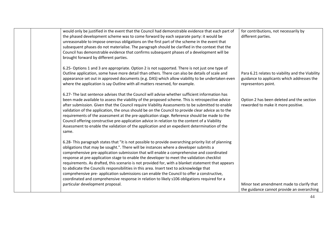| would only be justified in the event that the Council had demonstrable evidence that each part of<br>the phased development scheme was to come forward by each separate party: it would be<br>unreasonable to impose onerous obligations on the first part of the scheme in the event that<br>subsequent phases do not materialise. The paragraph should be clarified in the context that the<br>Council has demonstrable evidence that confirms subsequent phases of a development will be<br>brought forward by different parties.                                                                                                                                                                                                                                                                                         | for contributions, not necessarily by<br>different parties.                                                           |
|------------------------------------------------------------------------------------------------------------------------------------------------------------------------------------------------------------------------------------------------------------------------------------------------------------------------------------------------------------------------------------------------------------------------------------------------------------------------------------------------------------------------------------------------------------------------------------------------------------------------------------------------------------------------------------------------------------------------------------------------------------------------------------------------------------------------------|-----------------------------------------------------------------------------------------------------------------------|
| 6.25- Options 1 and 3 are appropriate. Option 2 is not supported. There is not just one type of<br>Outline application, some have more detail than others. There can also be details of scale and<br>appearance set out in approved documents (e.g. DAS) which allow viability to be undertaken even<br>where the application is say Outline with all matters reserved, for example.                                                                                                                                                                                                                                                                                                                                                                                                                                         | Para 6.21 relates to viability and the Viability<br>guidance to applicants which addresses the<br>representors point. |
| 6.27- The last sentence advises that the Council will advise whether sufficient information has<br>been made available to assess the viability of the proposed scheme. This is retrospective advice<br>after submission. Given that the Council require Viability Assessments to be submitted to enable<br>validation of the application, the onus should be on the Council to provide clear advice as to the<br>requirements of the assessment at the pre-application stage. Reference should be made to the<br>Council offering constructive pre-application advice in relation to the content of a Viability<br>Assessment to enable the validation of the application and an expedient determination of the<br>same.                                                                                                     | Option 2 has been deleted and the section<br>reworded to make it more positive.                                       |
| 6.28- This paragraph states that "it is not possible to provide overarching priority list of planning<br>obligations that may be sought.". There will be instances where a developer submits a<br>comprehensive pre-application submission that will enable a comprehensive and coordinated<br>response at pre-application stage to enable the developer to meet the validation checklist<br>requirements. As drafted, this scenario is not provided for, with a blanket statement that appears<br>to abdicate the Councils responsibilities in this area. Insert text to acknowledge that<br>comprehensive pre- application submissions can enable the Council to offer a constructive,<br>coordinated and comprehensive response in relation to likely s106 obligations required for a<br>particular development proposal. | Minor text amendment made to clarify that                                                                             |
|                                                                                                                                                                                                                                                                                                                                                                                                                                                                                                                                                                                                                                                                                                                                                                                                                              | the guidance cannot provide an overarching                                                                            |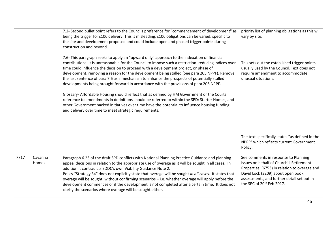|      |                  | 7.2- Second bullet point refers to the Councils preference for "commencement of development" as<br>being the trigger for s106 delivery. This is misleading: s106 obligations can be varied, specific to<br>the site and development proposed and could include open and phased trigger points during<br>construction and beyond.<br>7.6- This paragraph seeks to apply an "upward only" approach to the indexation of financial<br>contributions. It is unreasonable for the Council to impose such a restriction: reducing indices over<br>time could influence the decision to proceed with a development project, or phase of<br>development, removing a reason for the development being stalled (See para 205 NPPF). Remove<br>the last sentence of para 7.6 as a mechanism to enhance the prospects of potentially stalled<br>developments being brought forward in accordance with the provisions of para 205 NPPF.<br>Glossary- Affordable Housing should reflect that as defined by HM Government or the Courts:<br>reference to amendments in definitions should be referred to within the SPD: Starter Homes, and<br>other Government backed initiatives over time have the potential to influence housing funding<br>and delivery over time to meet strategic requirements. | priority list of planning obligations as this will<br>vary by site.<br>This sets out the established trigger points<br>usually used by the Council. Text does not<br>require amendment to accommodate<br>unusual situations.                                 |
|------|------------------|-----------------------------------------------------------------------------------------------------------------------------------------------------------------------------------------------------------------------------------------------------------------------------------------------------------------------------------------------------------------------------------------------------------------------------------------------------------------------------------------------------------------------------------------------------------------------------------------------------------------------------------------------------------------------------------------------------------------------------------------------------------------------------------------------------------------------------------------------------------------------------------------------------------------------------------------------------------------------------------------------------------------------------------------------------------------------------------------------------------------------------------------------------------------------------------------------------------------------------------------------------------------------------------------|--------------------------------------------------------------------------------------------------------------------------------------------------------------------------------------------------------------------------------------------------------------|
|      |                  |                                                                                                                                                                                                                                                                                                                                                                                                                                                                                                                                                                                                                                                                                                                                                                                                                                                                                                                                                                                                                                                                                                                                                                                                                                                                                         | The text specifically states "as defined in the<br>NPPF" which reflects current Government<br>Policy.                                                                                                                                                        |
| 7717 | Cavanna<br>Homes | Paragraph 6.23 of the draft SPD conflicts with National Planning Practice Guidance and planning<br>appeal decisions in relation to the appropriate use of overage as it will be sought in all cases. In<br>addition it contradicts EDDC's own Viability Guidance Note 2.<br>Policy "Strategy 34" does not explicitly state that overage will be sought in all cases. It states that<br>overage will be sought, without confirming scenarios - i.e. whether overage will apply before the<br>development commences or if the development is not completed after a certain time. It does not<br>clarify the scenarios where overage will be sought either.                                                                                                                                                                                                                                                                                                                                                                                                                                                                                                                                                                                                                                | See comments in response to Planning<br>Issues on behalf of Churchill Retirement<br>Properties (6753) in relation to overage and<br>David Lock (3209) about open book<br>assessments, and further detail set out in<br>the SPC of 20 <sup>th</sup> Feb 2017. |